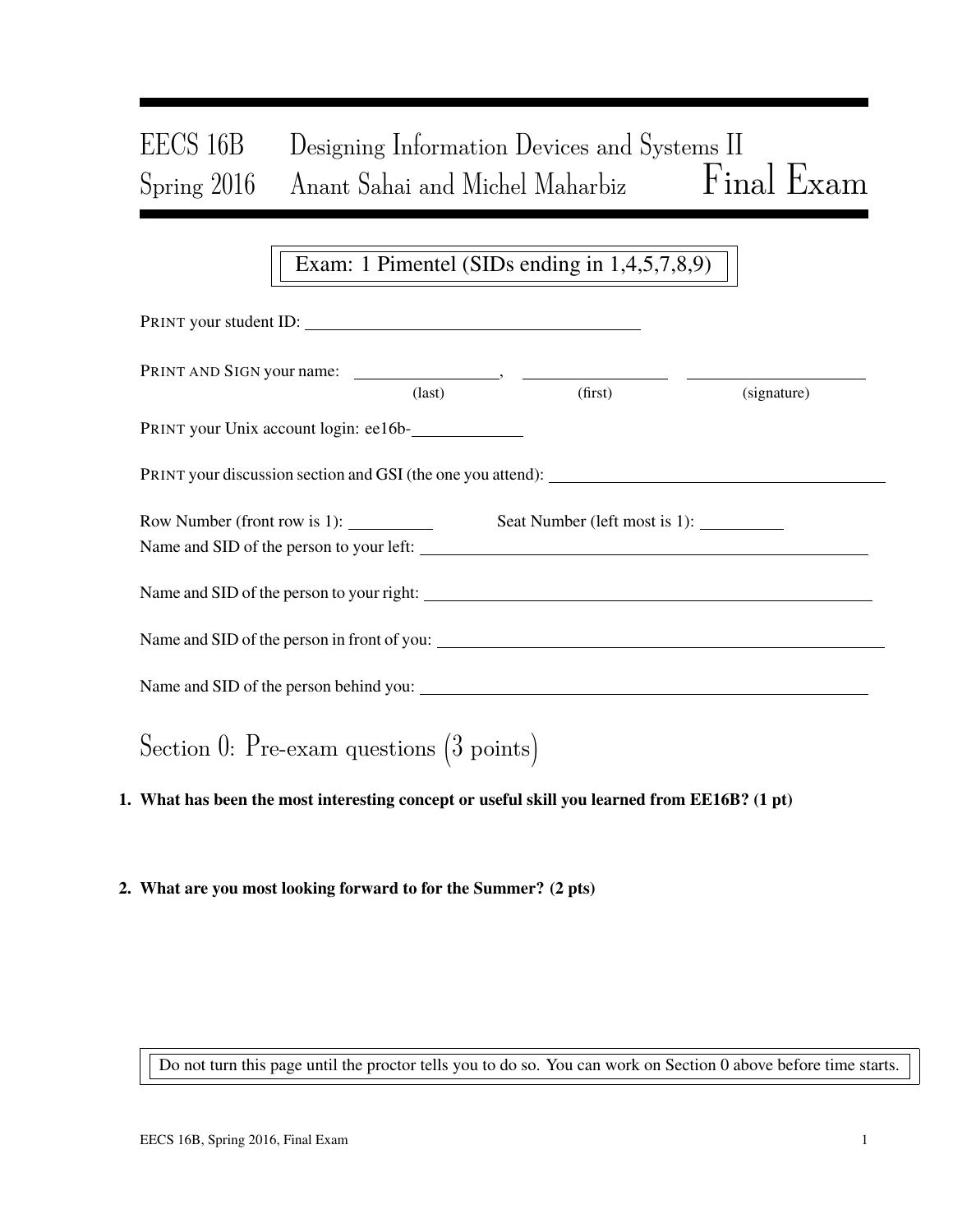# EECS 16B Designing Information Devices and Systems II Spring 2016 Anant Sahai and Michel Maharbiz Final Exam

# Exam: 1 Pimentel (SIDs ending in 1,4,5,7,8,9)

| PRINT your student ID:                                                                                                                                                                                                                                                                                                                                                                                                                                |               |         |             |
|-------------------------------------------------------------------------------------------------------------------------------------------------------------------------------------------------------------------------------------------------------------------------------------------------------------------------------------------------------------------------------------------------------------------------------------------------------|---------------|---------|-------------|
|                                                                                                                                                                                                                                                                                                                                                                                                                                                       | $\frac{1}{2}$ | (first) | (signature) |
| PRINT your Unix account login: ee16b-                                                                                                                                                                                                                                                                                                                                                                                                                 |               |         |             |
| PRINT your discussion section and GSI (the one you attend): _____________________                                                                                                                                                                                                                                                                                                                                                                     |               |         |             |
| Row Number (front row is 1): $\frac{1}{\sqrt{1-\frac{1}{\sqrt{1-\frac{1}{\sqrt{1-\frac{1}{\sqrt{1-\frac{1}{\sqrt{1-\frac{1}{\sqrt{1-\frac{1}{\sqrt{1-\frac{1}{\sqrt{1-\frac{1}{\sqrt{1-\frac{1}{\sqrt{1-\frac{1}{\sqrt{1-\frac{1}{\sqrt{1-\frac{1}{\sqrt{1-\frac{1}{\sqrt{1-\frac{1}{\sqrt{1-\frac{1}{\sqrt{1-\frac{1}{\sqrt{1-\frac{1}{\sqrt{1-\frac{1}{\sqrt{1-\frac{1}{\sqrt{1-\frac{1}{\sqrt{1-\frac$<br>Name and SID of the person to your left: |               |         |             |
| Name and SID of the person to your right:                                                                                                                                                                                                                                                                                                                                                                                                             |               |         |             |
| Name and SID of the person in front of you:                                                                                                                                                                                                                                                                                                                                                                                                           |               |         |             |
|                                                                                                                                                                                                                                                                                                                                                                                                                                                       |               |         |             |
| Section 0: Pre-exam questions $(3 \text{ points})$                                                                                                                                                                                                                                                                                                                                                                                                    |               |         |             |

# 1. What has been the most interesting concept or useful skill you learned from EE16B? (1 pt)

### 2. What are you most looking forward to for the Summer? (2 pts)

Do not turn this page until the proctor tells you to do so. You can work on Section 0 above before time starts.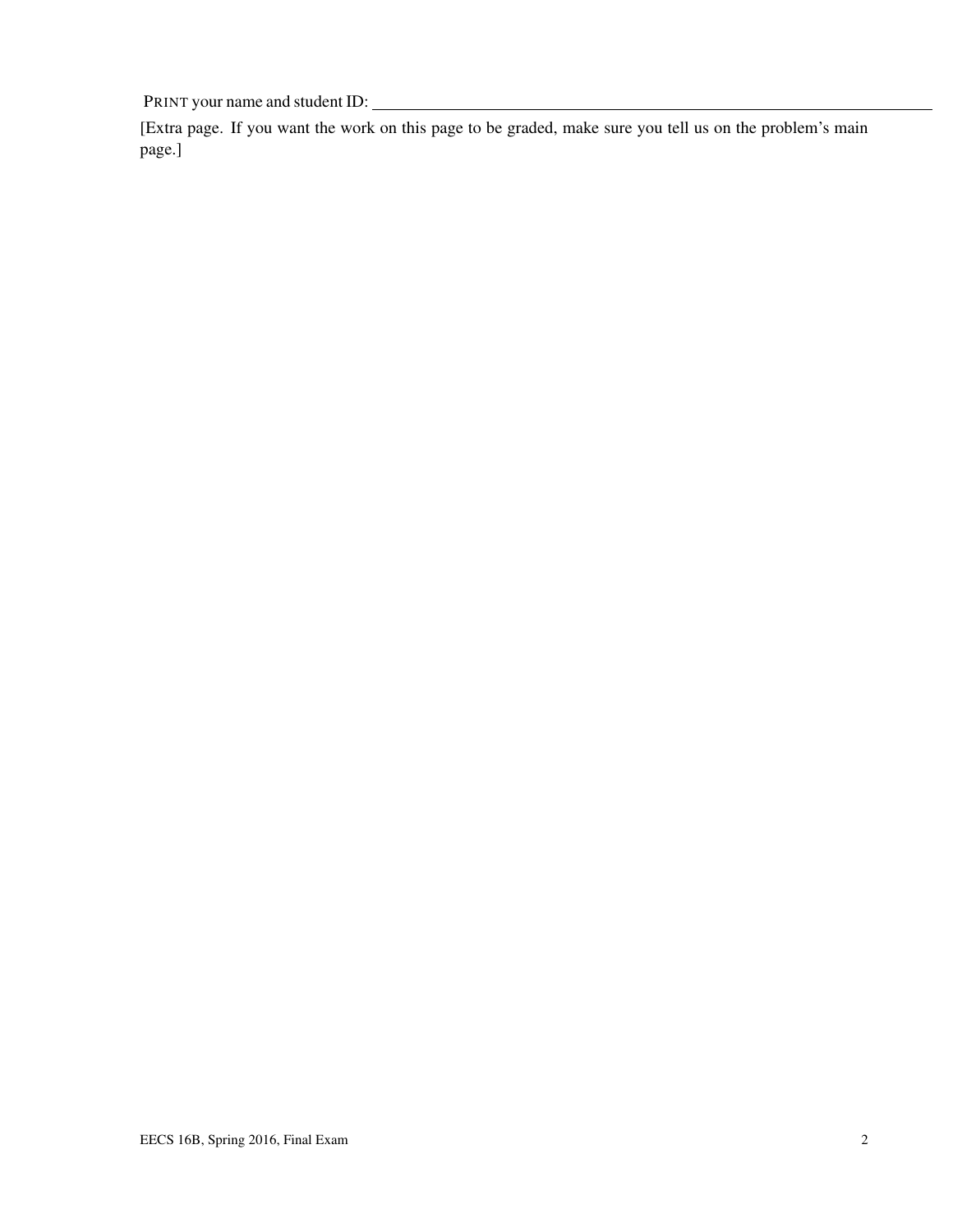[Extra page. If you want the work on this page to be graded, make sure you tell us on the problem's main page.]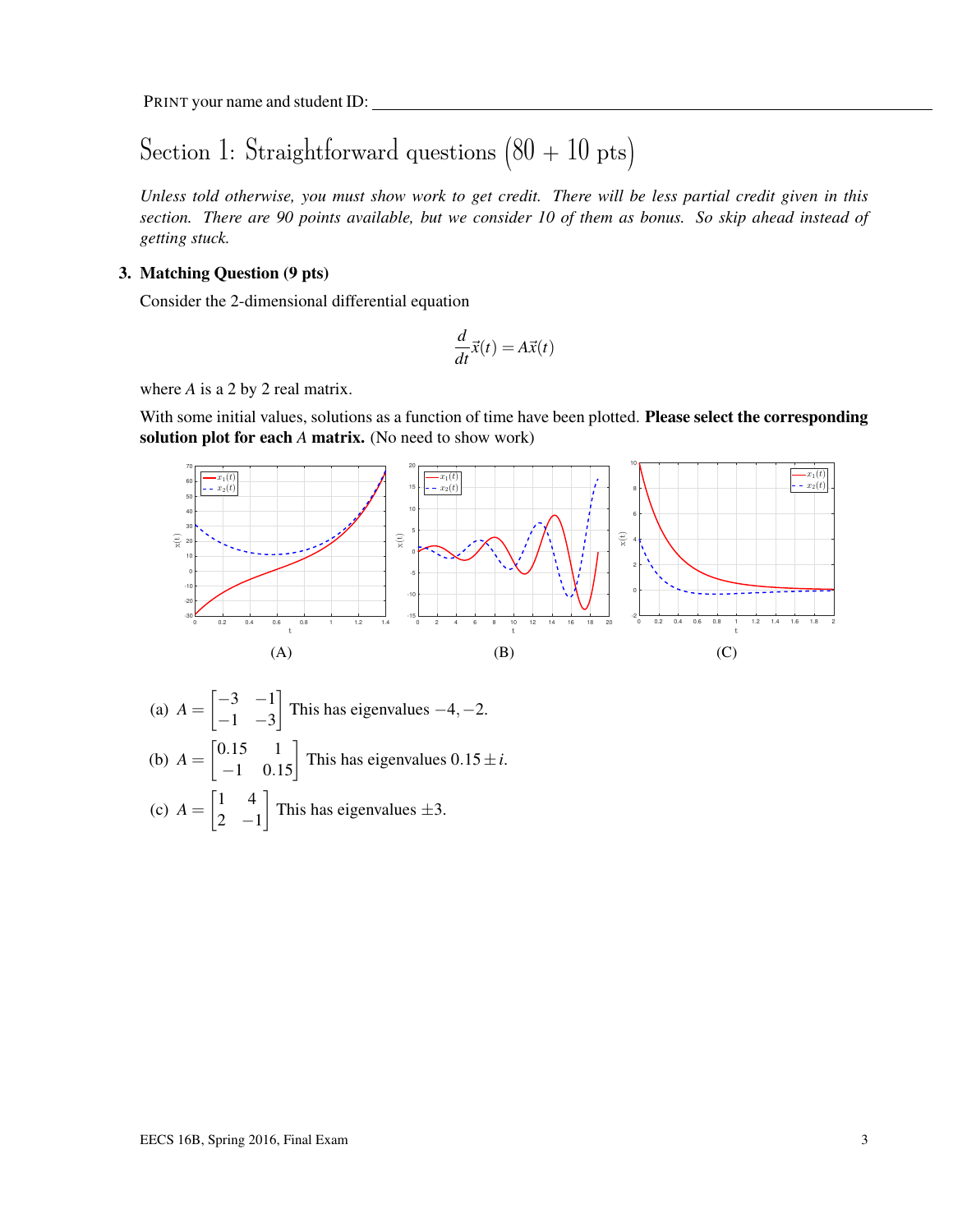# Section 1: Straightforward questions  $(80 + 10 \text{ pts})$

*Unless told otherwise, you must show work to get credit. There will be less partial credit given in this section. There are 90 points available, but we consider 10 of them as bonus. So skip ahead instead of getting stuck.*

### 3. Matching Question (9 pts)

Consider the 2-dimensional differential equation

$$
\frac{d}{dt}\vec{x}(t) = A\vec{x}(t)
$$

where *A* is a 2 by 2 real matrix.

With some initial values, solutions as a function of time have been plotted. **Please select the corresponding** solution plot for each *A* matrix. (No need to show work)



(a) 
$$
A = \begin{bmatrix} -3 & -1 \\ -1 & -3 \end{bmatrix}
$$
 This has eigenvalues  $-4, -2$ .  
\n(b)  $A = \begin{bmatrix} 0.15 & 1 \\ -1 & 0.15 \end{bmatrix}$  This has eigenvalues  $0.15 \pm i$ .  
\n(c)  $A = \begin{bmatrix} 1 & 4 \\ 2 & -1 \end{bmatrix}$  This has eigenvalues  $\pm 3$ .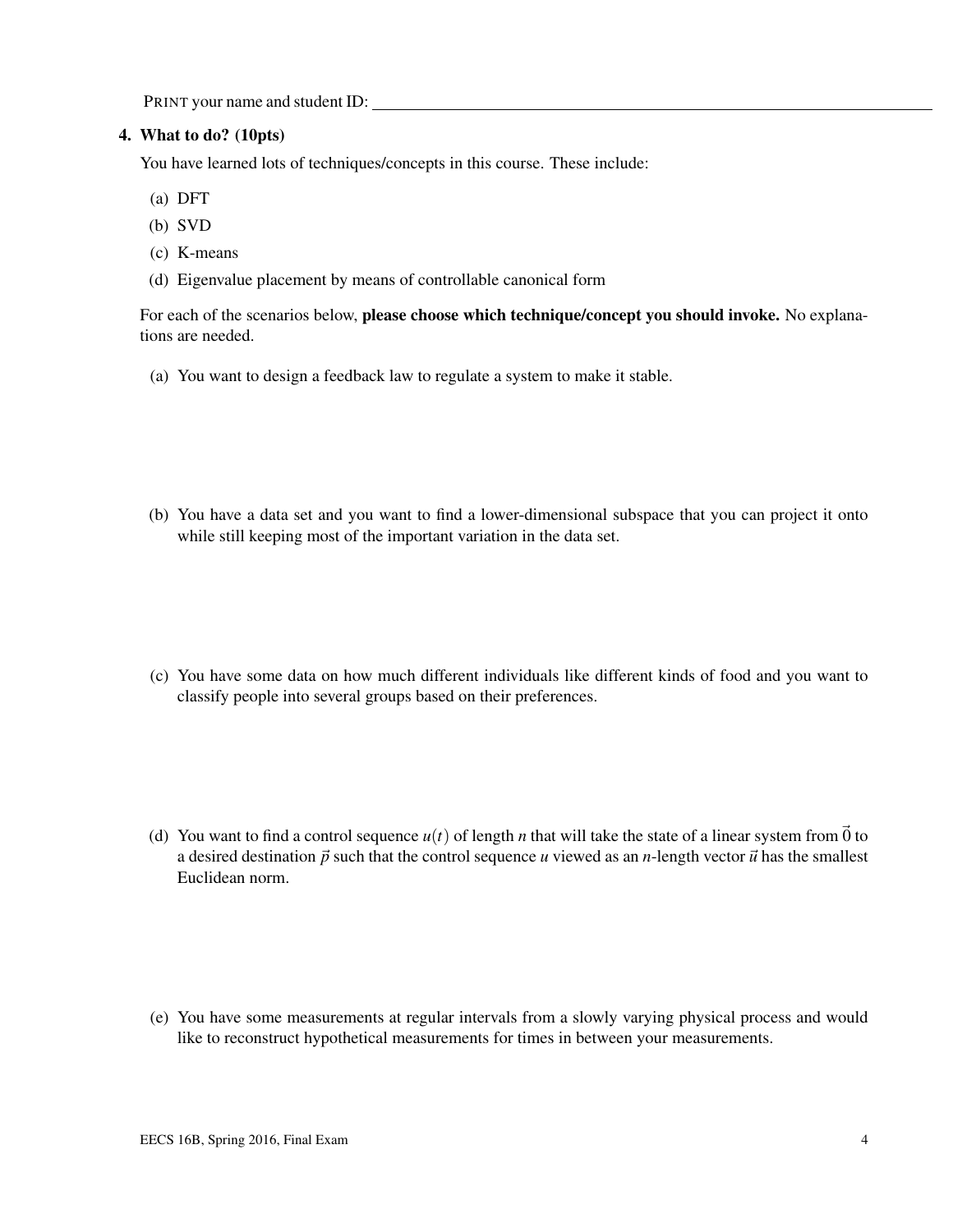#### 4. What to do? (10pts)

You have learned lots of techniques/concepts in this course. These include:

- (a) DFT
- (b) SVD
- (c) K-means
- (d) Eigenvalue placement by means of controllable canonical form

For each of the scenarios below, please choose which technique/concept you should invoke. No explanations are needed.

- (a) You want to design a feedback law to regulate a system to make it stable.
- (b) You have a data set and you want to find a lower-dimensional subspace that you can project it onto while still keeping most of the important variation in the data set.
- (c) You have some data on how much different individuals like different kinds of food and you want to classify people into several groups based on their preferences.
- (d) You want to find a control sequence  $u(t)$  of length *n* that will take the state of a linear system from  $\vec{0}$  to a desired destination  $\vec{p}$  such that the control sequence *u* viewed as an *n*-length vector  $\vec{u}$  has the smallest Euclidean norm.
- (e) You have some measurements at regular intervals from a slowly varying physical process and would like to reconstruct hypothetical measurements for times in between your measurements.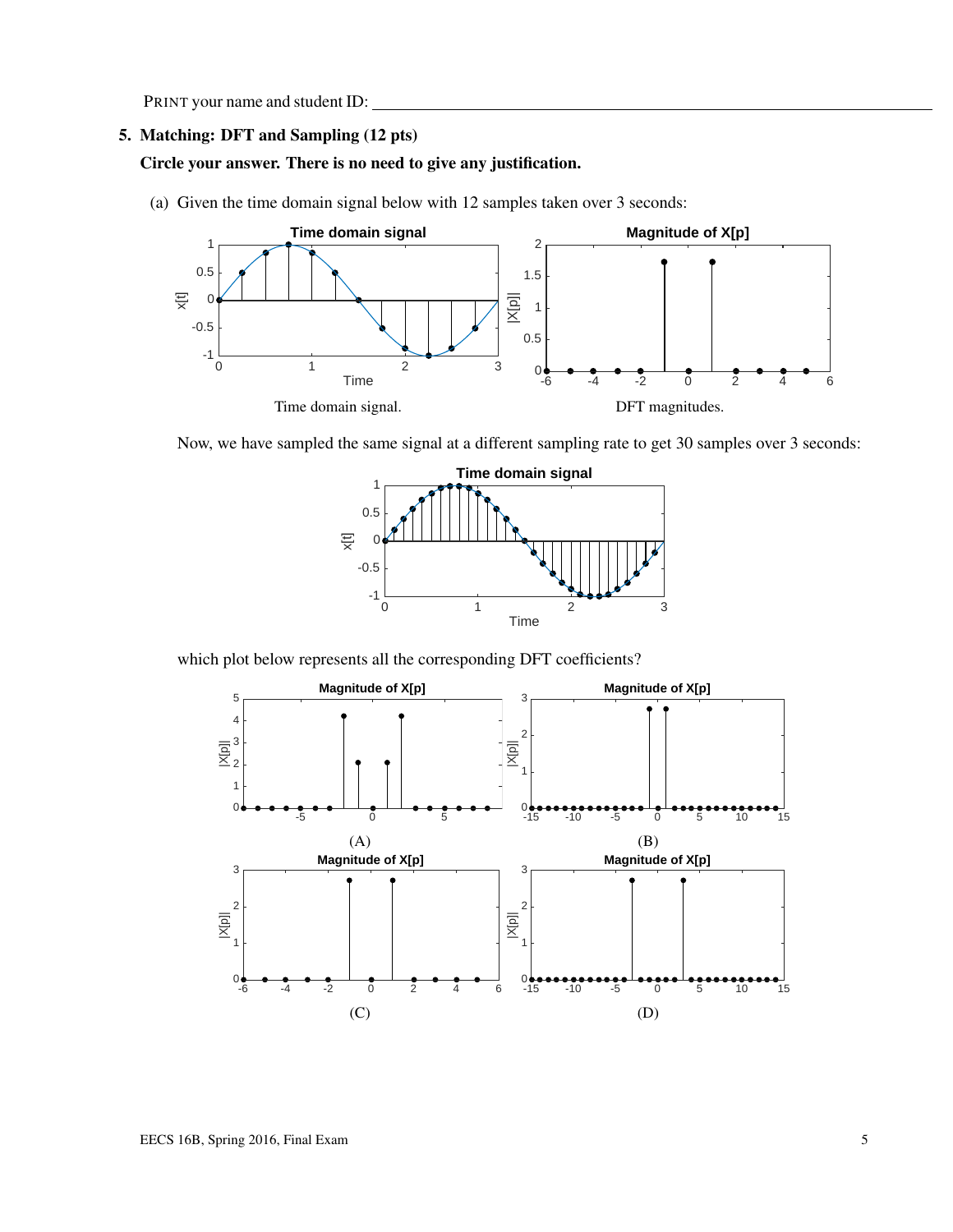#### 5. Matching: DFT and Sampling (12 pts)

### Circle your answer. There is no need to give any justification.

(a) Given the time domain signal below with 12 samples taken over 3 seconds:



Now, we have sampled the same signal at a different sampling rate to get 30 samples over 3 seconds:



which plot below represents all the corresponding DFT coefficients?

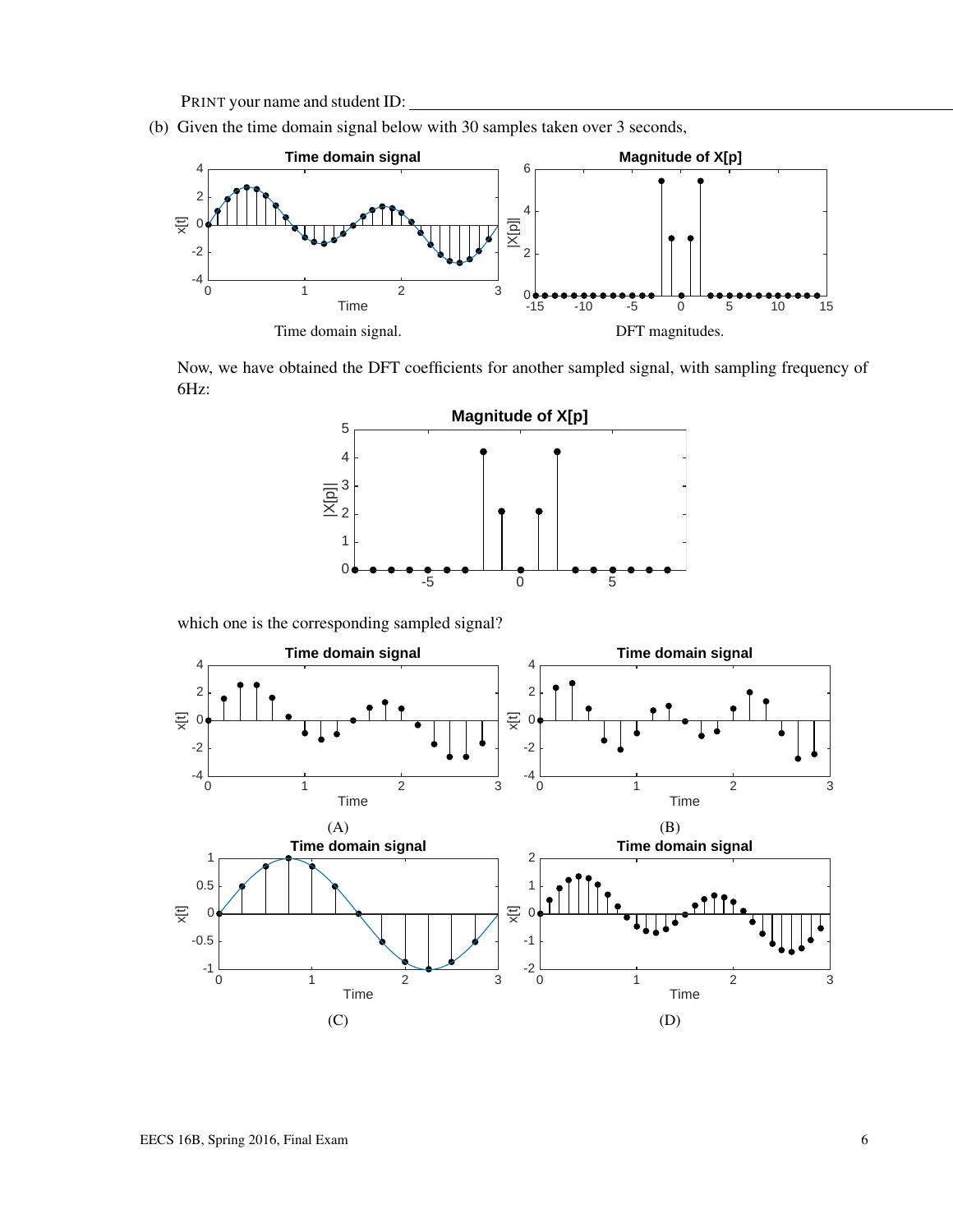(b) Given the time domain signal below with 30 samples taken over 3 seconds,



Now, we have obtained the DFT coefficients for another sampled signal, with sampling frequency of 6Hz:



which one is the corresponding sampled signal?

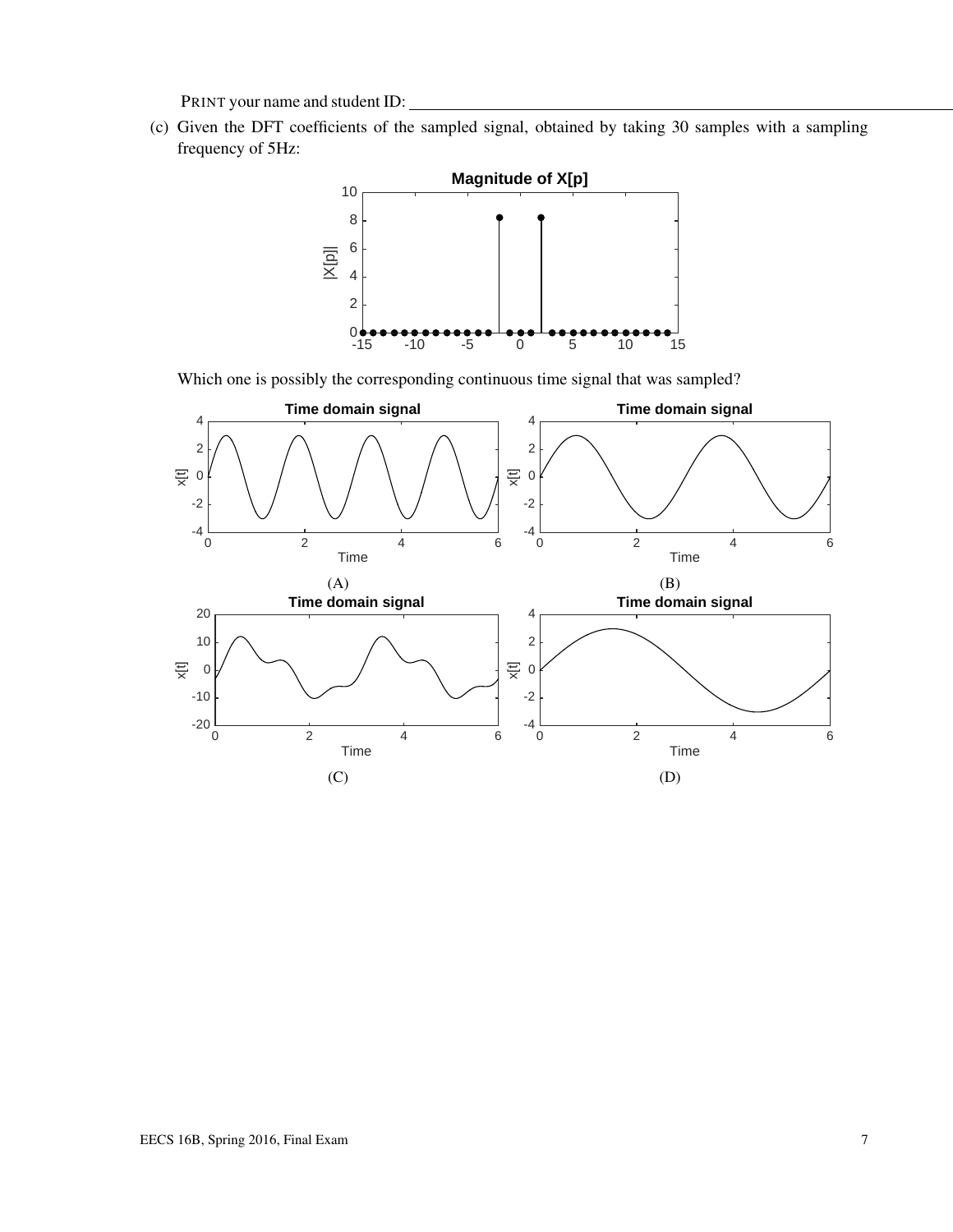(c) Given the DFT coefficients of the sampled signal, obtained by taking 30 samples with a sampling frequency of 5Hz:



Which one is possibly the corresponding continuous time signal that was sampled?

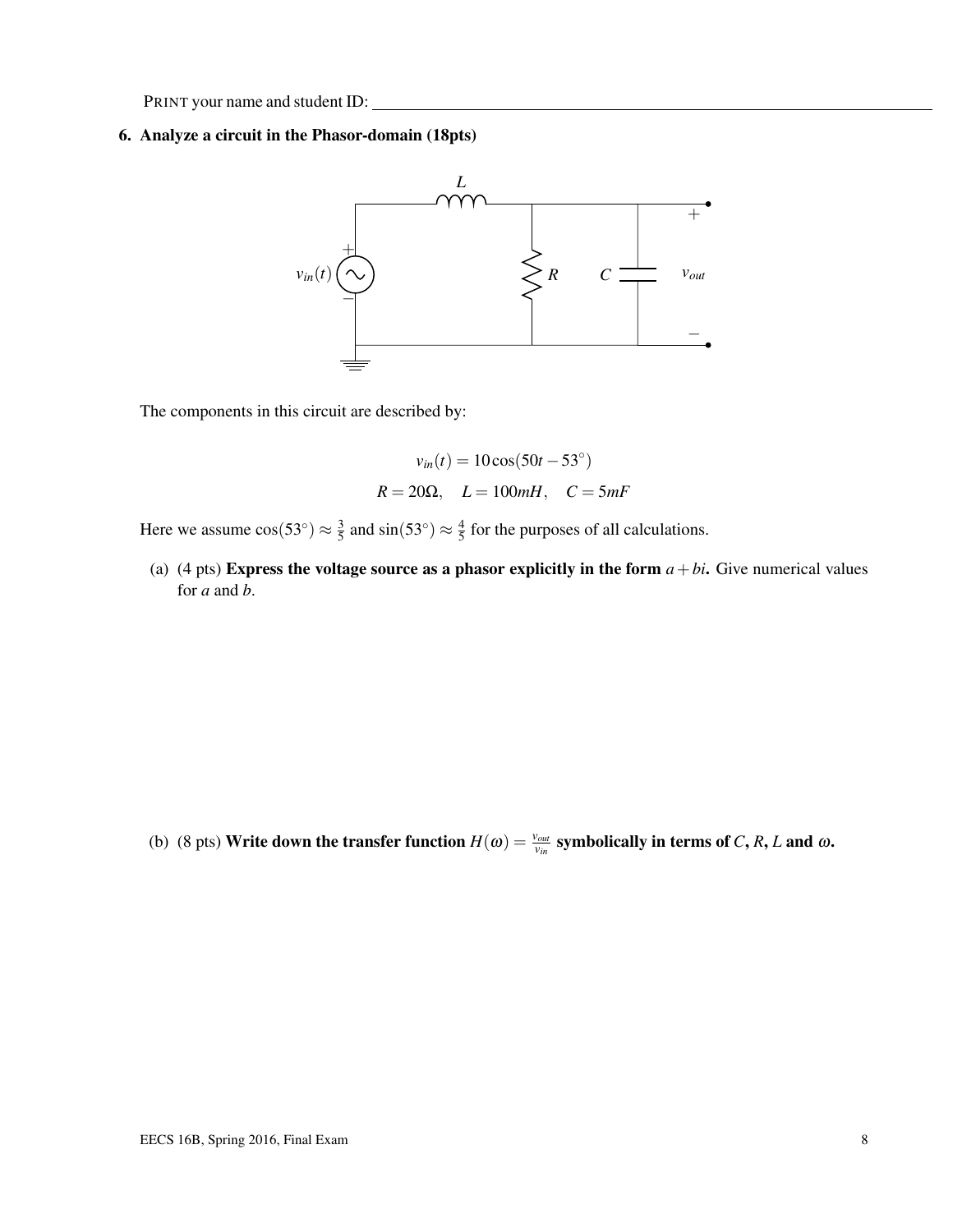#### 6. Analyze a circuit in the Phasor-domain (18pts)



The components in this circuit are described by:

$$
v_{in}(t) = 10\cos(50t - 53^{\circ})
$$
  

$$
R = 20\Omega, \quad L = 100mH, \quad C = 5mF
$$

Here we assume  $\cos(53^\circ) \approx \frac{3}{5}$  $\frac{3}{5}$  and sin(53°)  $\approx \frac{4}{5}$  $\frac{4}{5}$  for the purposes of all calculations.

(a) (4 pts) Express the voltage source as a phasor explicitly in the form  $a + bi$ . Give numerical values for *a* and *b*.

(b) (8 pts) Write down the transfer function  $H(\omega) = \frac{v_{out}}{v_{in}}$  symbolically in terms of *C*, *R*, *L* and  $\omega$ .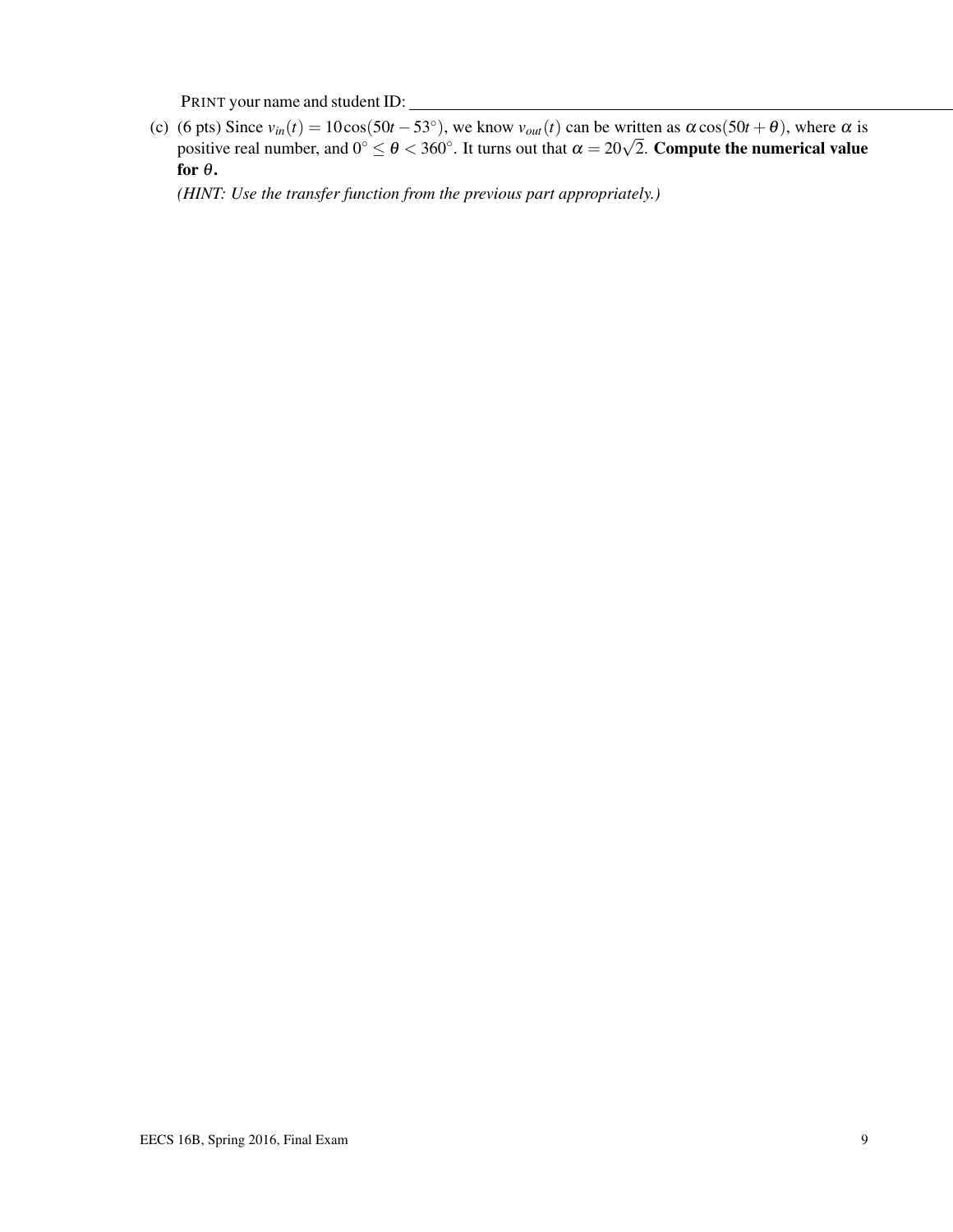(c) (6 pts) Since  $v_{in}(t) = 10\cos(50t - 53^{\circ})$ , we know  $v_{out}(t)$  can be written as  $\alpha \cos(50t + \theta)$ , where  $\alpha$  is (o pts) since  $v_{in}(t) = 10\cos(30t - 35)$ , we know  $v_{out}(t)$  can be written as  $\alpha \cos(30t + \theta)$ , where  $\alpha$  is positive real number, and  $0^{\circ} \le \theta < 360^{\circ}$ . It turns out that  $\alpha = 20\sqrt{2}$ . Compute the numerical value for  $\theta$ .

*(HINT: Use the transfer function from the previous part appropriately.)*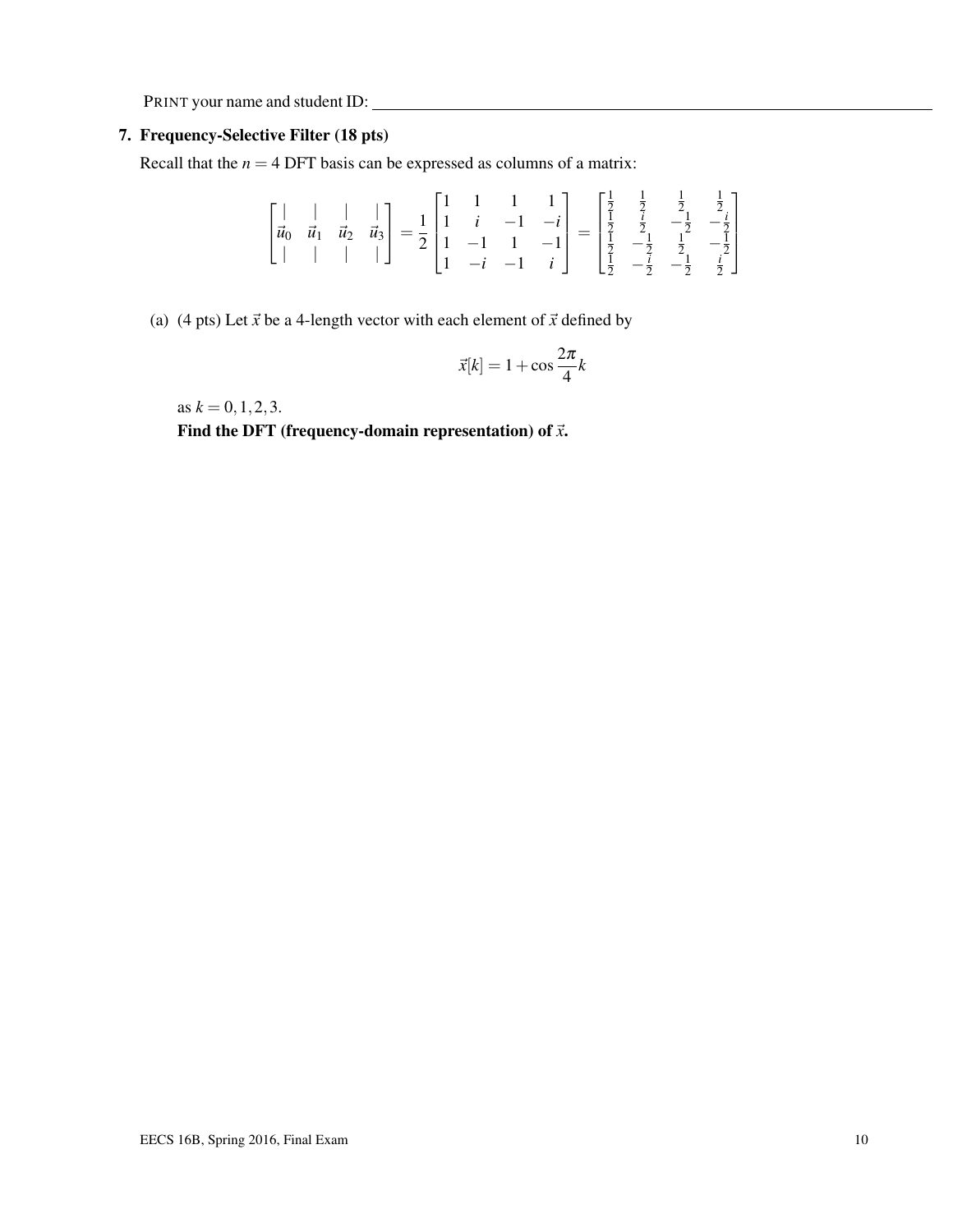#### 7. Frequency-Selective Filter (18 pts)

Recall that the  $n = 4$  DFT basis can be expressed as columns of a matrix:

$$
\begin{bmatrix} | & | & | & | \\ \vec{u}_0 & \vec{u}_1 & \vec{u}_2 & \vec{u}_3 \\ | & | & | & | & | \end{bmatrix} = \frac{1}{2} \begin{bmatrix} 1 & 1 & 1 & 1 \\ 1 & i & -1 & -i \\ 1 & -1 & 1 & -1 \\ 1 & -i & -1 & i \end{bmatrix} = \begin{bmatrix} \frac{1}{2} & \frac{1}{2} & \frac{1}{2} & \frac{1}{2} \\ \frac{1}{2} & \frac{1}{2} & -\frac{1}{2} & -\frac{1}{2} \\ \frac{1}{2} & -\frac{1}{2} & \frac{1}{2} & -\frac{1}{2} \\ \frac{1}{2} & -\frac{1}{2} & -\frac{1}{2} & \frac{i}{2} \end{bmatrix}
$$

(a) (4 pts) Let  $\vec{x}$  be a 4-length vector with each element of  $\vec{x}$  defined by

$$
\vec{x}[k] = 1 + \cos\frac{2\pi}{4}k
$$

as  $k = 0, 1, 2, 3$ .

Find the DFT (frequency-domain representation) of  $\vec{x}$ .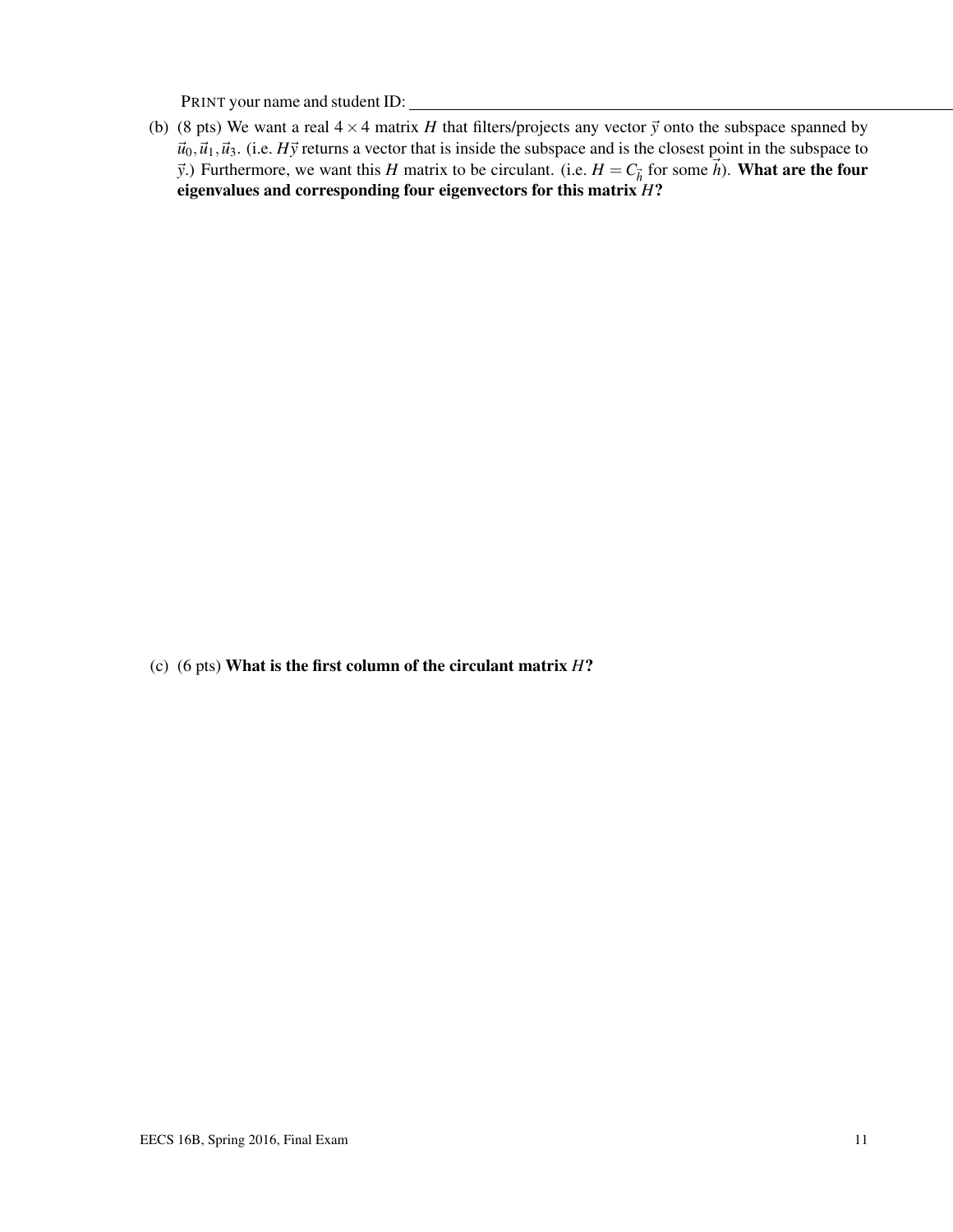(b) (8 pts) We want a real  $4 \times 4$  matrix *H* that filters/projects any vector  $\vec{y}$  onto the subspace spanned by  $\vec{u}_0$ ,  $\vec{u}_1$ ,  $\vec{u}_3$ . (i.e. *H*y returns a vector that is inside the subspace and is the closest point in the subspace to  $\vec{y}$ .) Furthermore, we want this *H* matrix to be circulant. (i.e.  $H = C_{\vec{h}}$  for some  $\vec{h}$ ). **What are the four** eigenvalues and corresponding four eigenvectors for this matrix *H*?

(c) (6 pts) What is the first column of the circulant matrix *H*?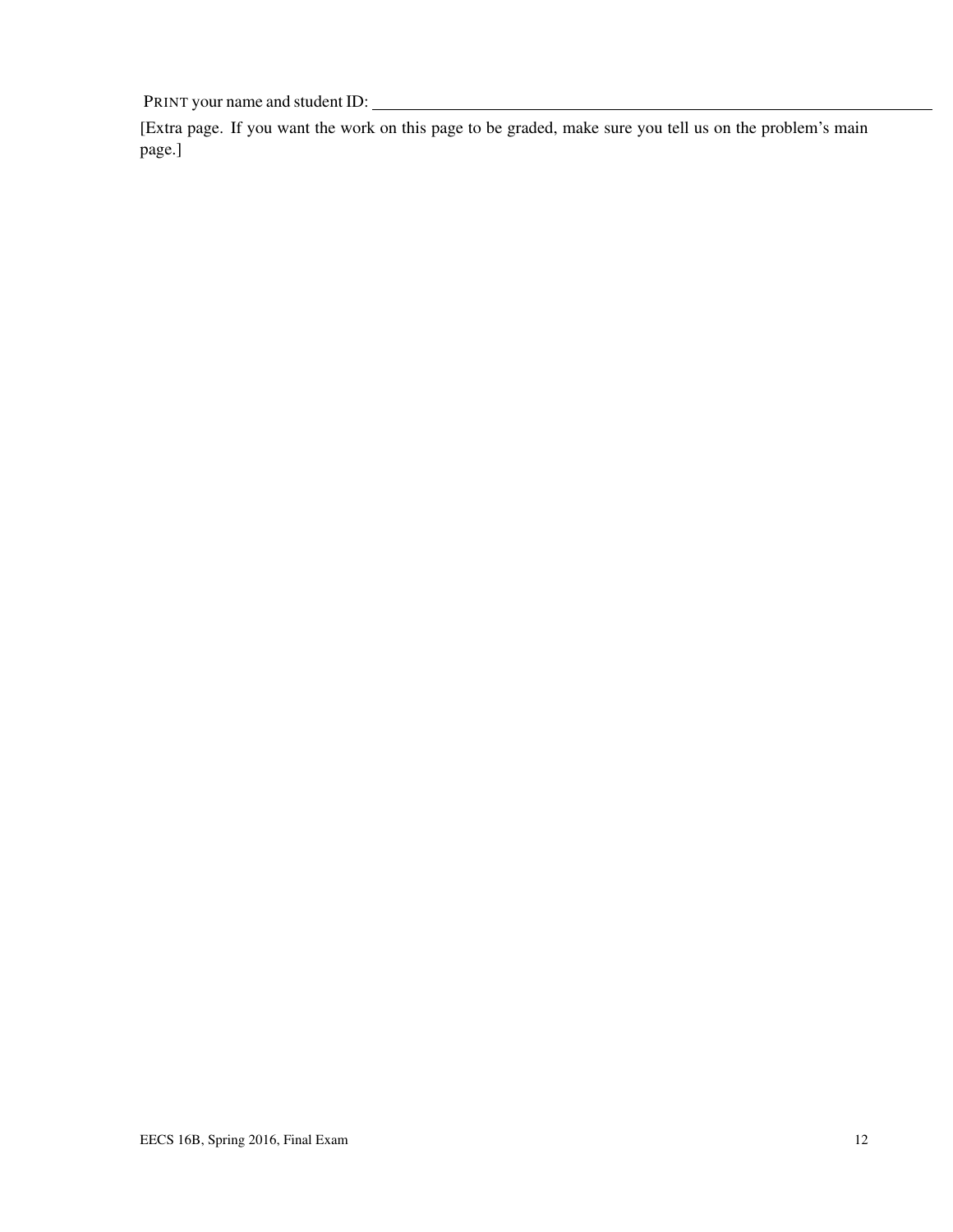[Extra page. If you want the work on this page to be graded, make sure you tell us on the problem's main page.]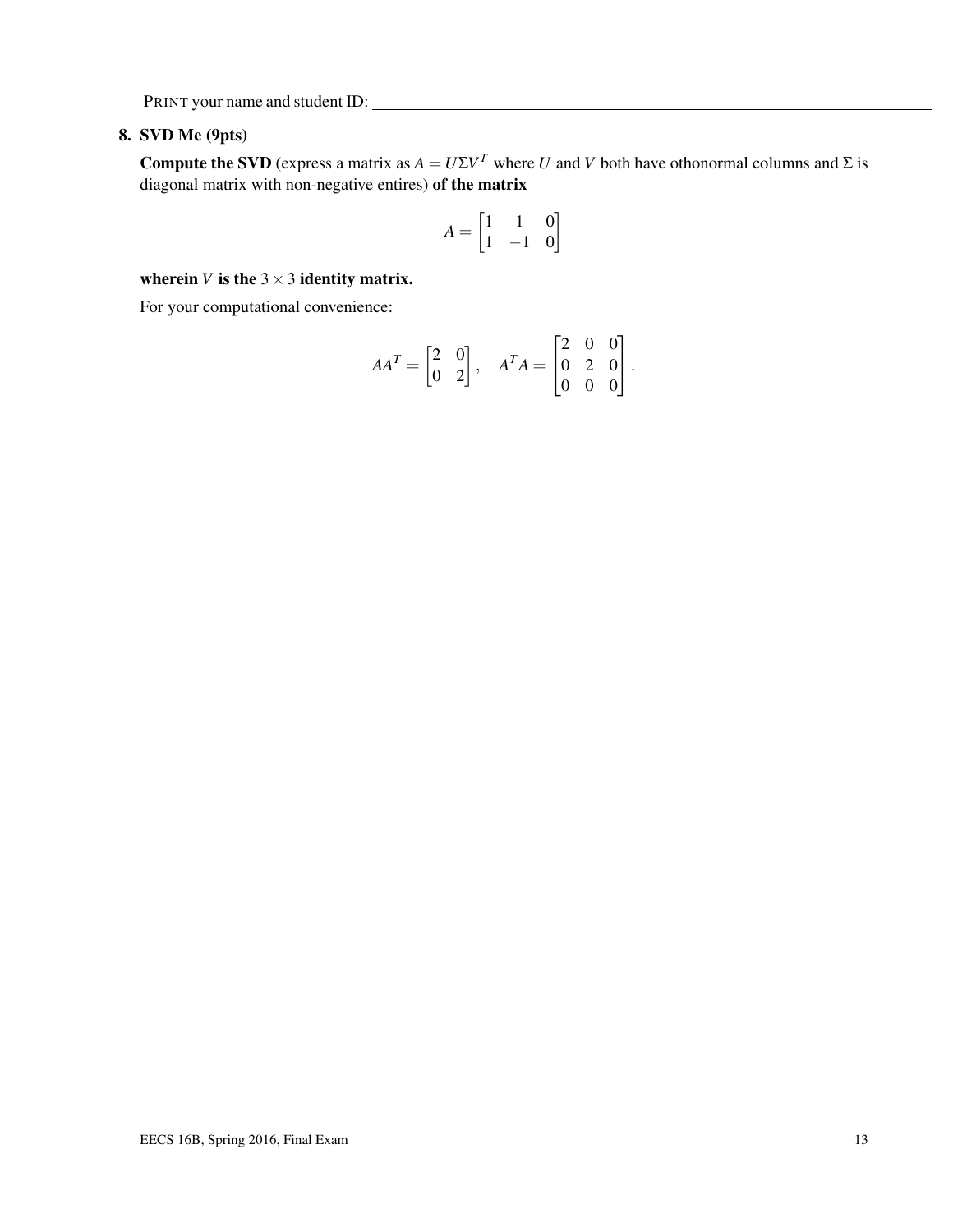### 8. SVD Me (9pts)

**Compute the SVD** (express a matrix as  $A = U\Sigma V^T$  where *U* and *V* both have othonormal columns and  $\Sigma$  is diagonal matrix with non-negative entires) of the matrix

$$
A = \begin{bmatrix} 1 & 1 & 0 \\ 1 & -1 & 0 \end{bmatrix}
$$

wherein *V* is the  $3 \times 3$  identity matrix.

For your computational convenience:

$$
AA^{T} = \begin{bmatrix} 2 & 0 \\ 0 & 2 \end{bmatrix}, \quad A^{T}A = \begin{bmatrix} 2 & 0 & 0 \\ 0 & 2 & 0 \\ 0 & 0 & 0 \end{bmatrix}.
$$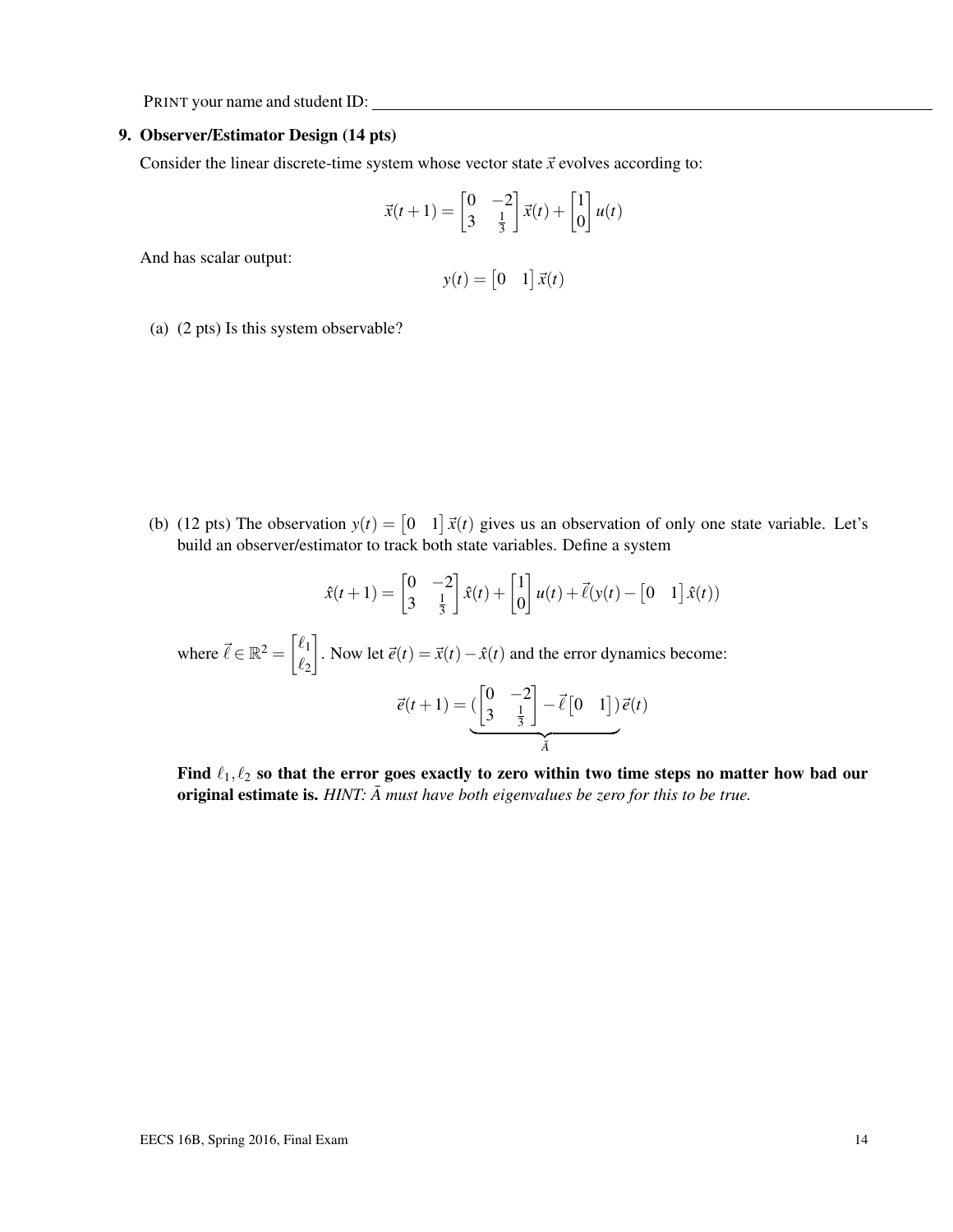#### 9. Observer/Estimator Design (14 pts)

Consider the linear discrete-time system whose vector state  $\vec{x}$  evolves according to:

$$
\vec{x}(t+1) = \begin{bmatrix} 0 & -2 \\ 3 & \frac{1}{3} \end{bmatrix} \vec{x}(t) + \begin{bmatrix} 1 \\ 0 \end{bmatrix} u(t)
$$

And has scalar output:

$$
y(t) = \begin{bmatrix} 0 & 1 \end{bmatrix} \vec{x}(t)
$$

(a) (2 pts) Is this system observable?

(b) (12 pts) The observation  $y(t) = \begin{bmatrix} 0 & 1 \end{bmatrix} \vec{x}(t)$  gives us an observation of only one state variable. Let's build an observer/estimator to track both state variables. Define a system

$$
\hat{x}(t+1) = \begin{bmatrix} 0 & -2 \\ 3 & \frac{1}{3} \end{bmatrix} \hat{x}(t) + \begin{bmatrix} 1 \\ 0 \end{bmatrix} u(t) + \vec{\ell}(y(t) - \begin{bmatrix} 0 & 1 \end{bmatrix} \hat{x}(t))
$$

where  $\vec{\ell} \in \mathbb{R}^2 = \begin{bmatrix} \ell_1 \\ \ell_2 \end{bmatrix}$  $\ell_2$ . Now let  $\vec{e}(t) = \vec{x}(t) - \hat{x}(t)$  and the error dynamics become:

$$
\vec{e}(t+1) = \underbrace{\left(\begin{bmatrix} 0 & -2 \\ 3 & \frac{1}{3} \end{bmatrix} - \vec{\ell} \begin{bmatrix} 0 & 1 \end{bmatrix}\right)}_{\vec{A}} \vec{e}(t)
$$

Find  $\ell_1, \ell_2$  so that the error goes exactly to zero within two time steps no matter how bad our original estimate is.  $HINT: \bar{A}$  must have both eigenvalues be zero for this to be true.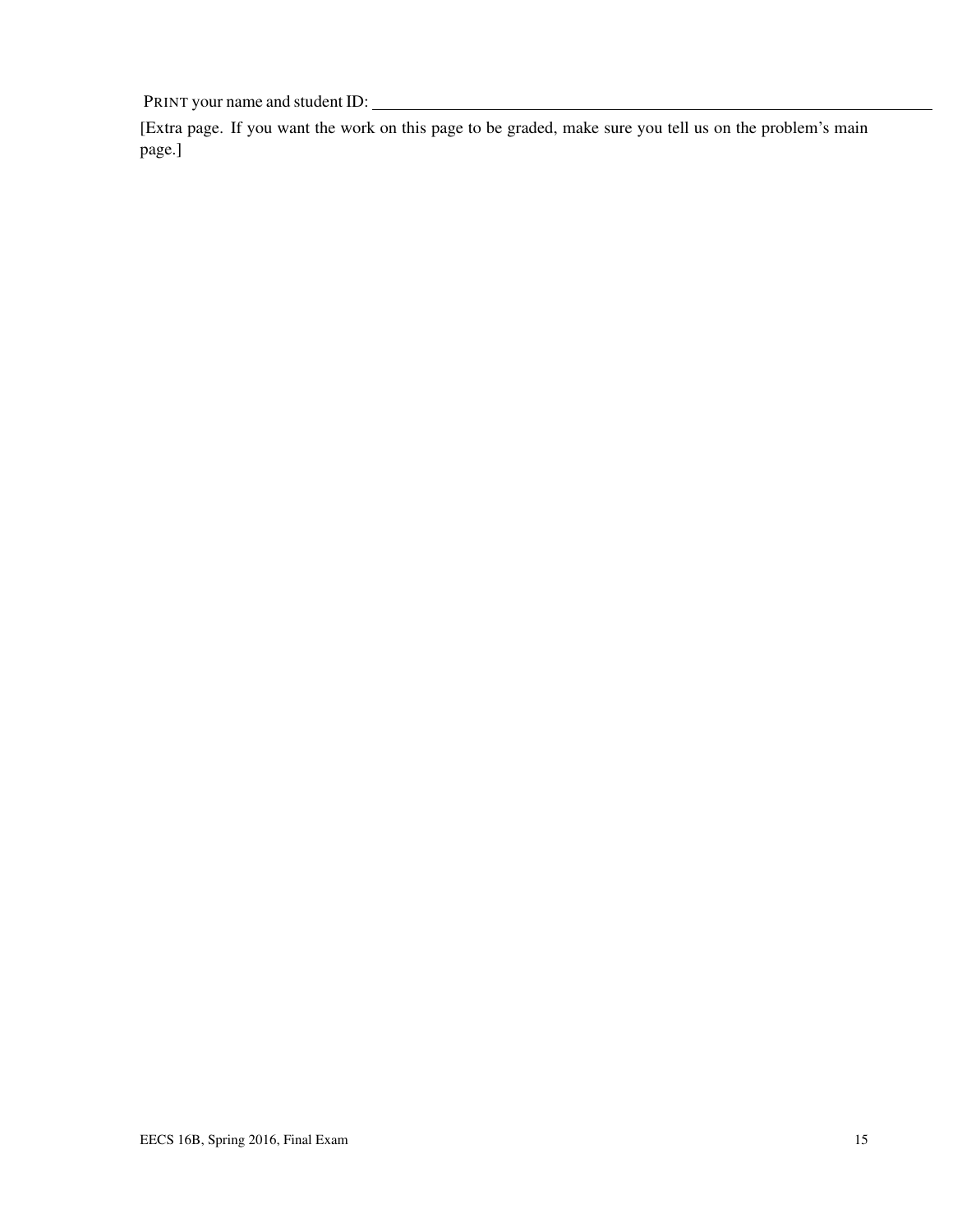[Extra page. If you want the work on this page to be graded, make sure you tell us on the problem's main page.]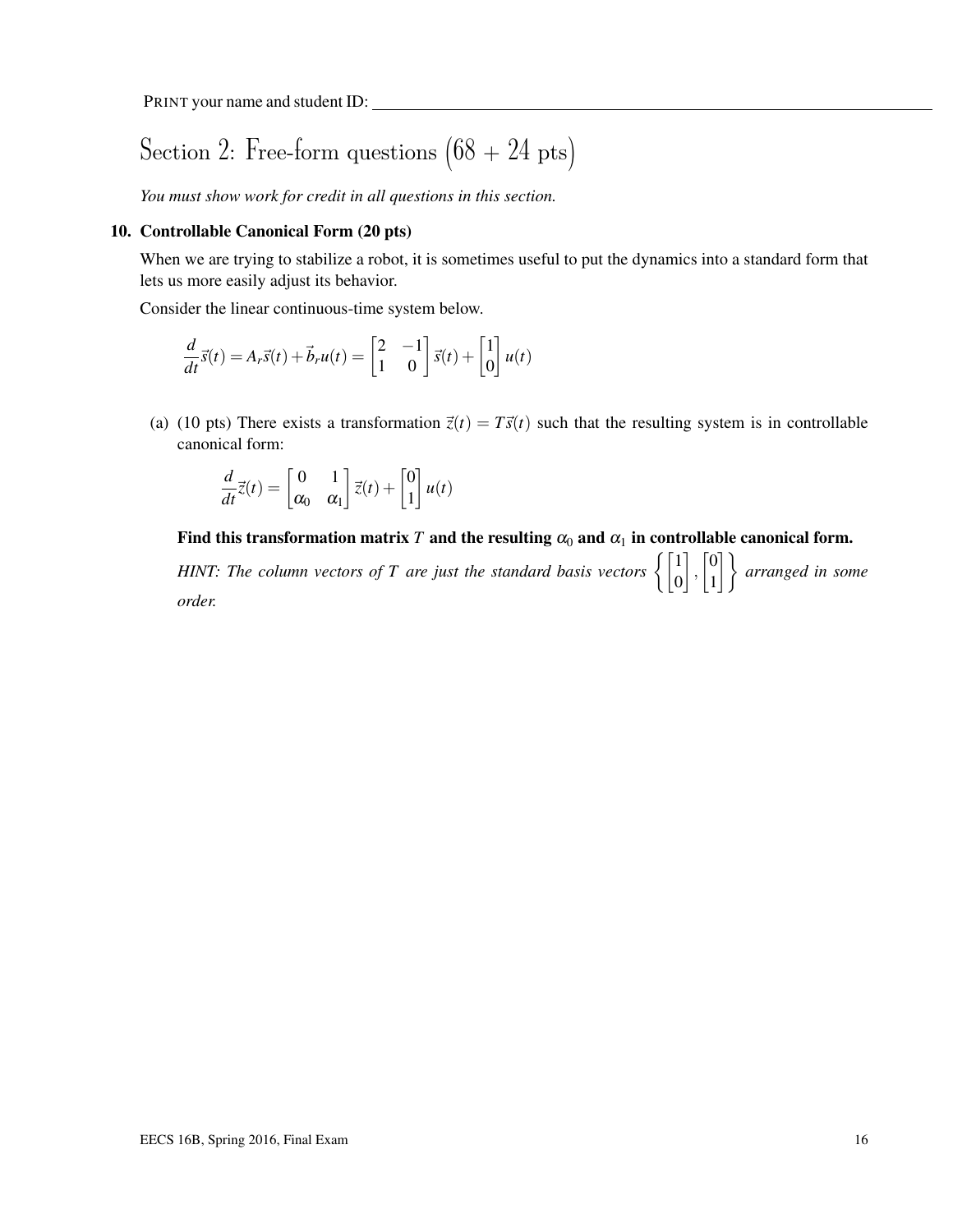# Section 2: Free-form questions  $(68 + 24 \text{ pts})$

*You must show work for credit in all questions in this section.*

#### 10. Controllable Canonical Form (20 pts)

When we are trying to stabilize a robot, it is sometimes useful to put the dynamics into a standard form that lets us more easily adjust its behavior.

Consider the linear continuous-time system below.

$$
\frac{d}{dt}\vec{s}(t) = A_r\vec{s}(t) + \vec{b}_r u(t) = \begin{bmatrix} 2 & -1 \\ 1 & 0 \end{bmatrix} \vec{s}(t) + \begin{bmatrix} 1 \\ 0 \end{bmatrix} u(t)
$$

(a) (10 pts) There exists a transformation  $\vec{z}(t) = T\vec{s}(t)$  such that the resulting system is in controllable canonical form:

$$
\frac{d}{dt}\vec{z}(t) = \begin{bmatrix} 0 & 1 \\ \alpha_0 & \alpha_1 \end{bmatrix} \vec{z}(t) + \begin{bmatrix} 0 \\ 1 \end{bmatrix} u(t)
$$

Find this transformation matrix *T* and the resulting  $\alpha_0$  and  $\alpha_1$  in controllable canonical form.

*HINT: The column vectors of T are just the standard basis vectors*  $\begin{cases} \begin{bmatrix} 1 \ 0 \end{bmatrix}$  $\Big]$ ,  $\Big[ \begin{matrix} 0 \\ 1 \end{matrix} \Big]$  $\begin{bmatrix} 0 \\ 1 \end{bmatrix}$  arranged in some *order.*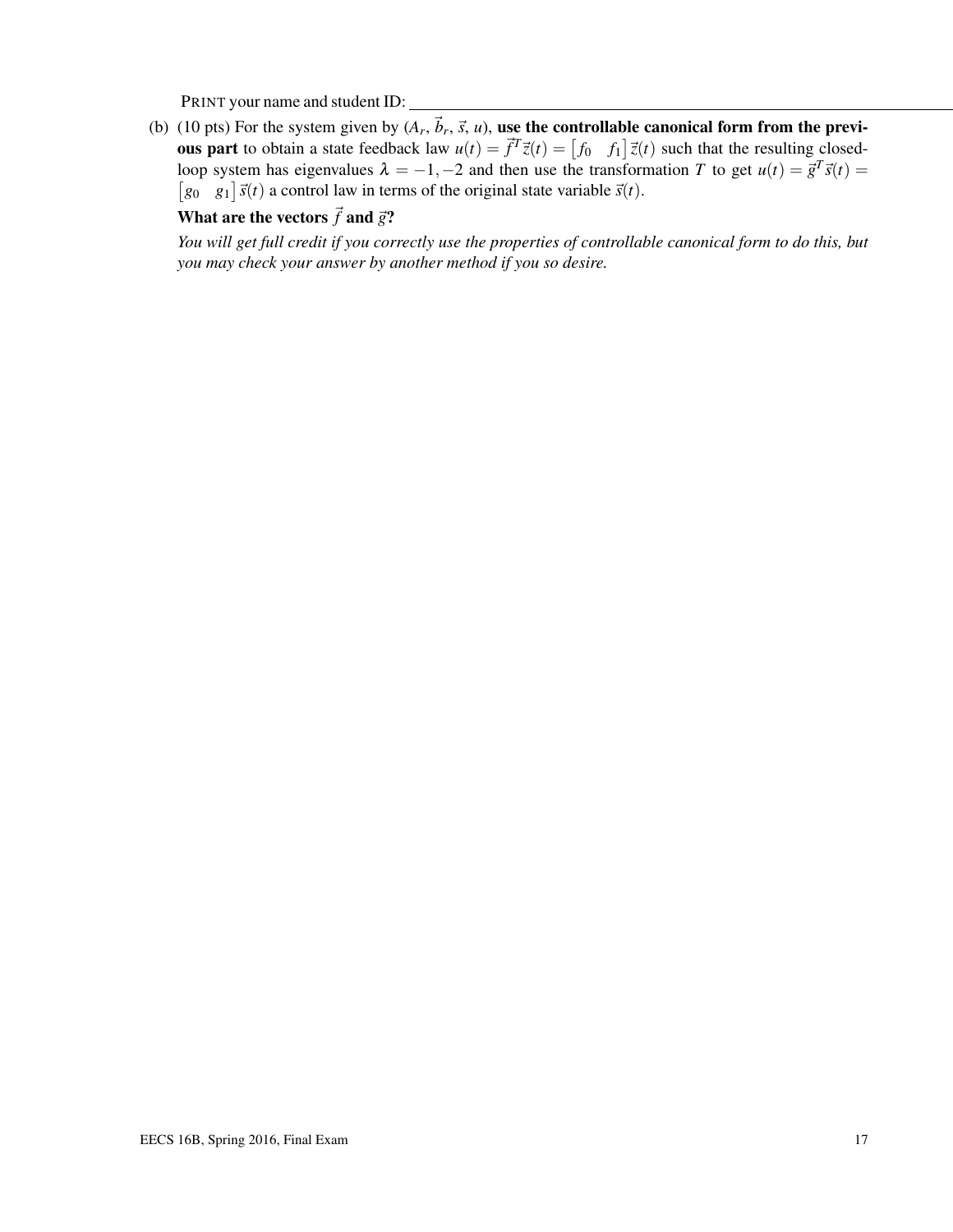(b) (10 pts) For the system given by  $(A_r, \vec{b}_r, \vec{s}, u)$ , use the controllable canonical form from the previ**ous part** to obtain a state feedback law  $u(t) = \vec{f}^T \vec{z}(t) = \begin{bmatrix} f_0 & f_1 \end{bmatrix} \vec{z}(t)$  such that the resulting closedloop system has eigenvalues  $\lambda = -1, -2$  and then use the transformation *T* to get  $u(t) = \vec{g}^T \vec{s}(t) =$  $[g_0 \quad g_1] \vec{s}(t)$  a control law in terms of the original state variable  $\vec{s}(t)$ .

# What are the vectors  $\vec{f}$  and  $\vec{g}$ ?

*You will get full credit if you correctly use the properties of controllable canonical form to do this, but you may check your answer by another method if you so desire.*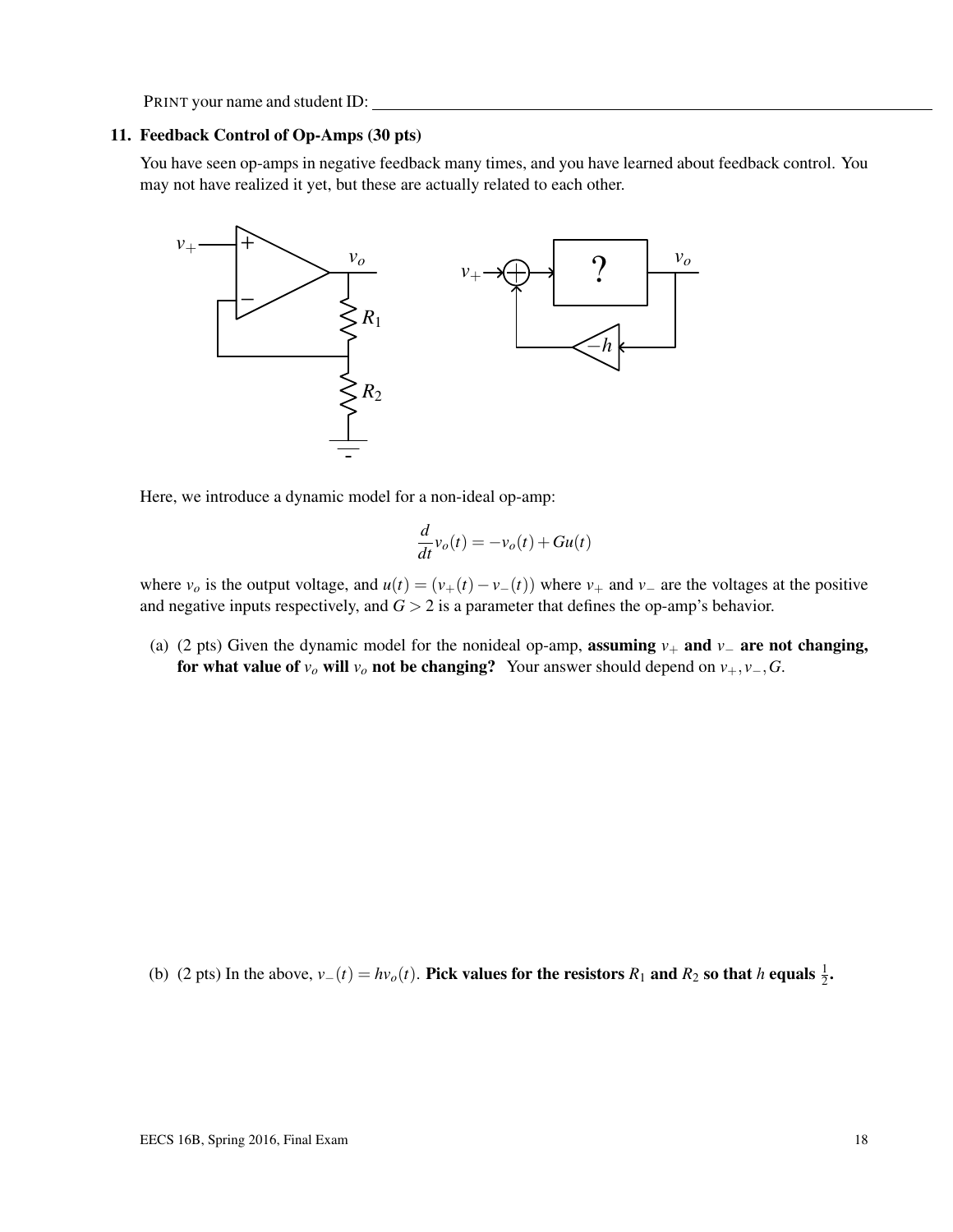#### 11. Feedback Control of Op-Amps (30 pts)

You have seen op-amps in negative feedback many times, and you have learned about feedback control. You may not have realized it yet, but these are actually related to each other.



Here, we introduce a dynamic model for a non-ideal op-amp:

$$
\frac{d}{dt}v_o(t) = -v_o(t) + Gu(t)
$$

where  $v<sub>o</sub>$  is the output voltage, and  $u(t) = (v_+(t) - v_-(t))$  where  $v_+$  and  $v_-$  are the voltages at the positive and negative inputs respectively, and  $G > 2$  is a parameter that defines the op-amp's behavior.

(a) (2 pts) Given the dynamic model for the nonideal op-amp, **assuming**  $v_+$  and  $v_-$  are not changing, for what value of  $v$ <sup>*o*</sup> will  $v$ <sup>*o*</sup> not be changing? Your answer should depend on  $v_+$ ,  $v_-, G$ .

(b) (2 pts) In the above,  $v_-(t) = hv_o(t)$ . Pick values for the resistors  $R_1$  and  $R_2$  so that *h* equals  $\frac{1}{2}$ .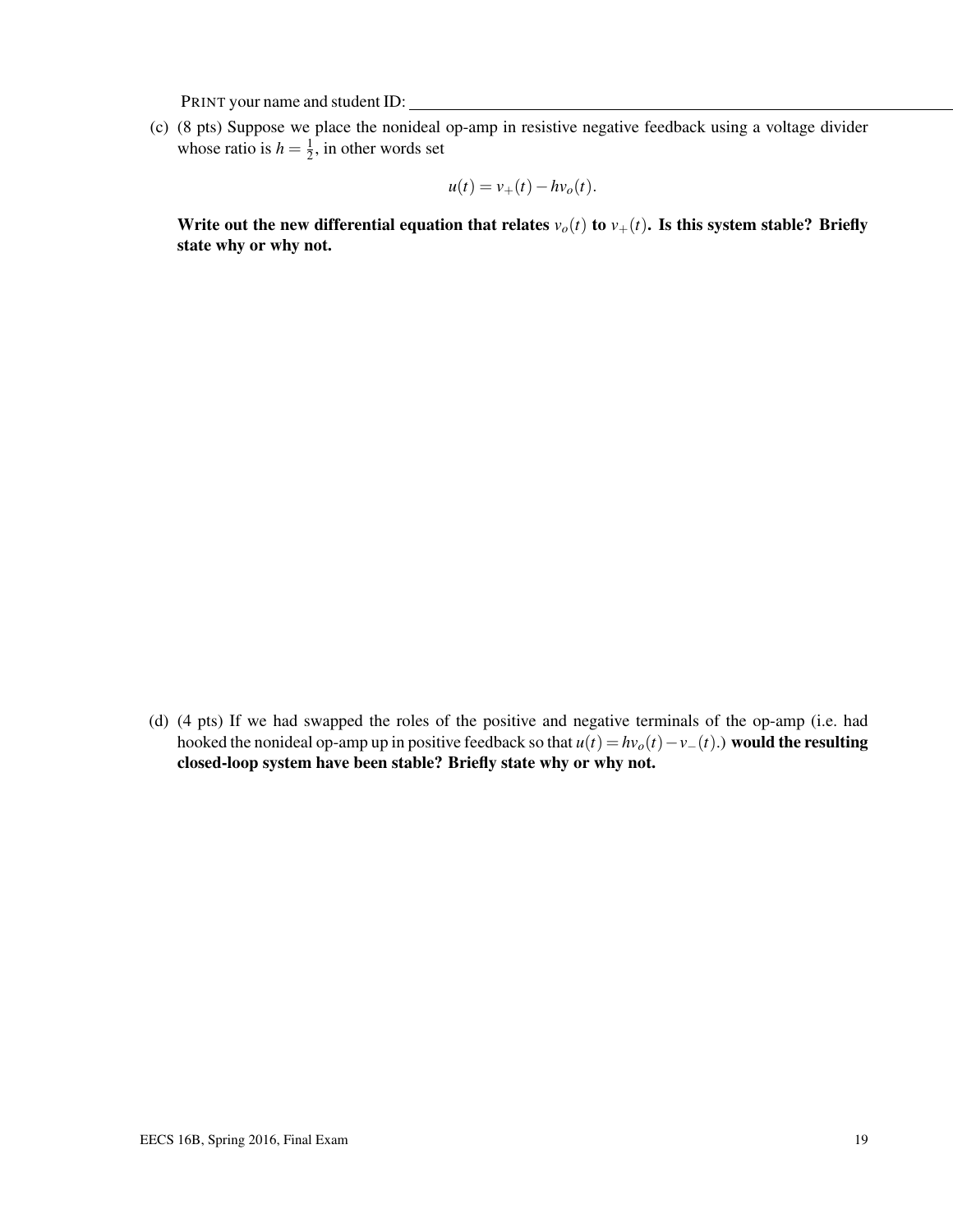(c) (8 pts) Suppose we place the nonideal op-amp in resistive negative feedback using a voltage divider whose ratio is  $h = \frac{1}{2}$  $\frac{1}{2}$ , in other words set

$$
u(t) = v_+(t) - hv_o(t).
$$

Write out the new differential equation that relates  $v_o(t)$  to  $v_+(t)$ . Is this system stable? Briefly state why or why not.

(d) (4 pts) If we had swapped the roles of the positive and negative terminals of the op-amp (i.e. had hooked the nonideal op-amp up in positive feedback so that  $u(t) = hv_o(t) - v_-(t)$ .) would the resulting closed-loop system have been stable? Briefly state why or why not.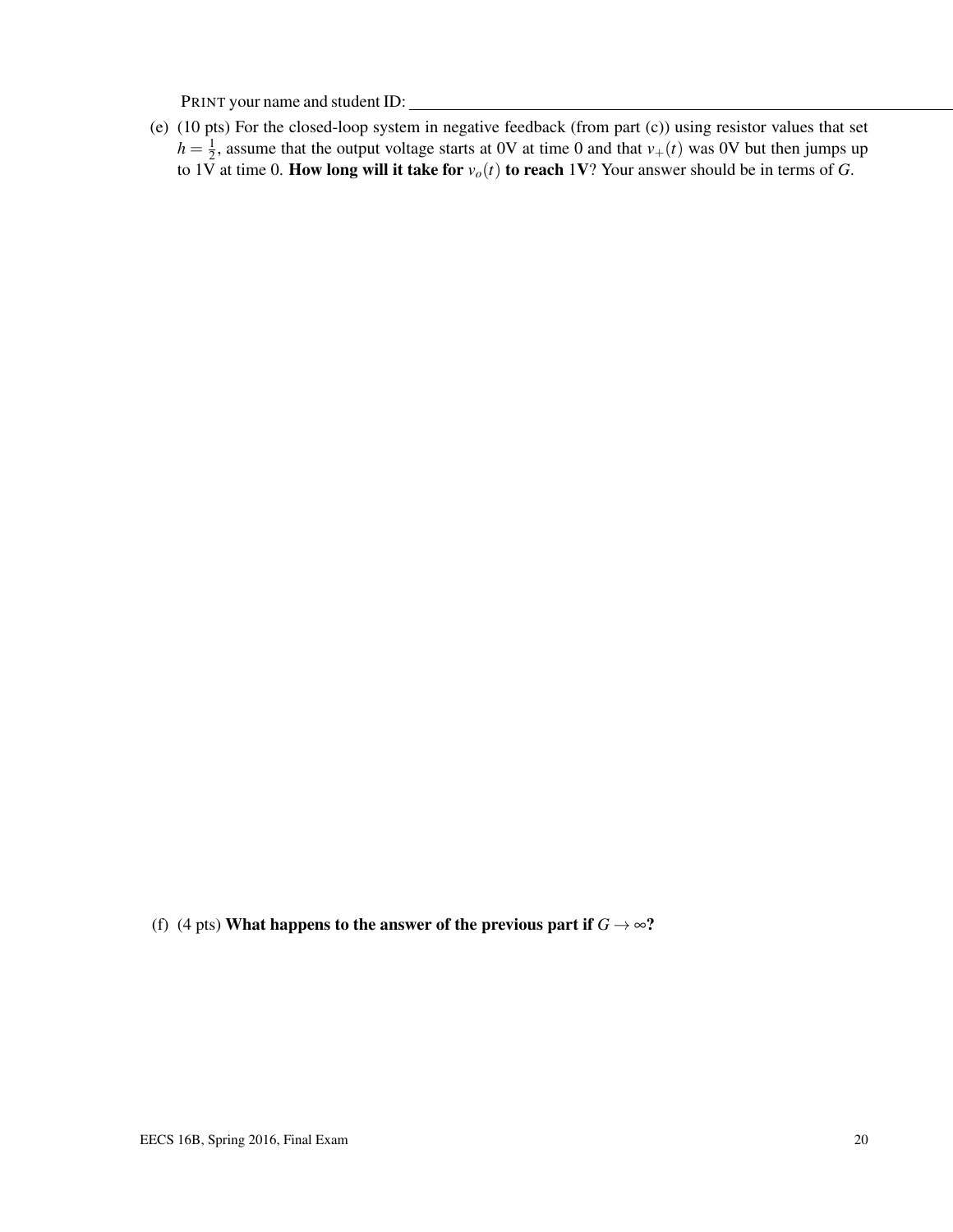(e) (10 pts) For the closed-loop system in negative feedback (from part (c)) using resistor values that set  $h=\frac{1}{2}$  $\frac{1}{2}$ , assume that the output voltage starts at 0V at time 0 and that  $v_{+}(t)$  was 0V but then jumps up to 1V at time 0. How long will it take for  $v_o(t)$  to reach 1V? Your answer should be in terms of *G*.

(f) (4 pts) What happens to the answer of the previous part if  $G \rightarrow \infty$ ?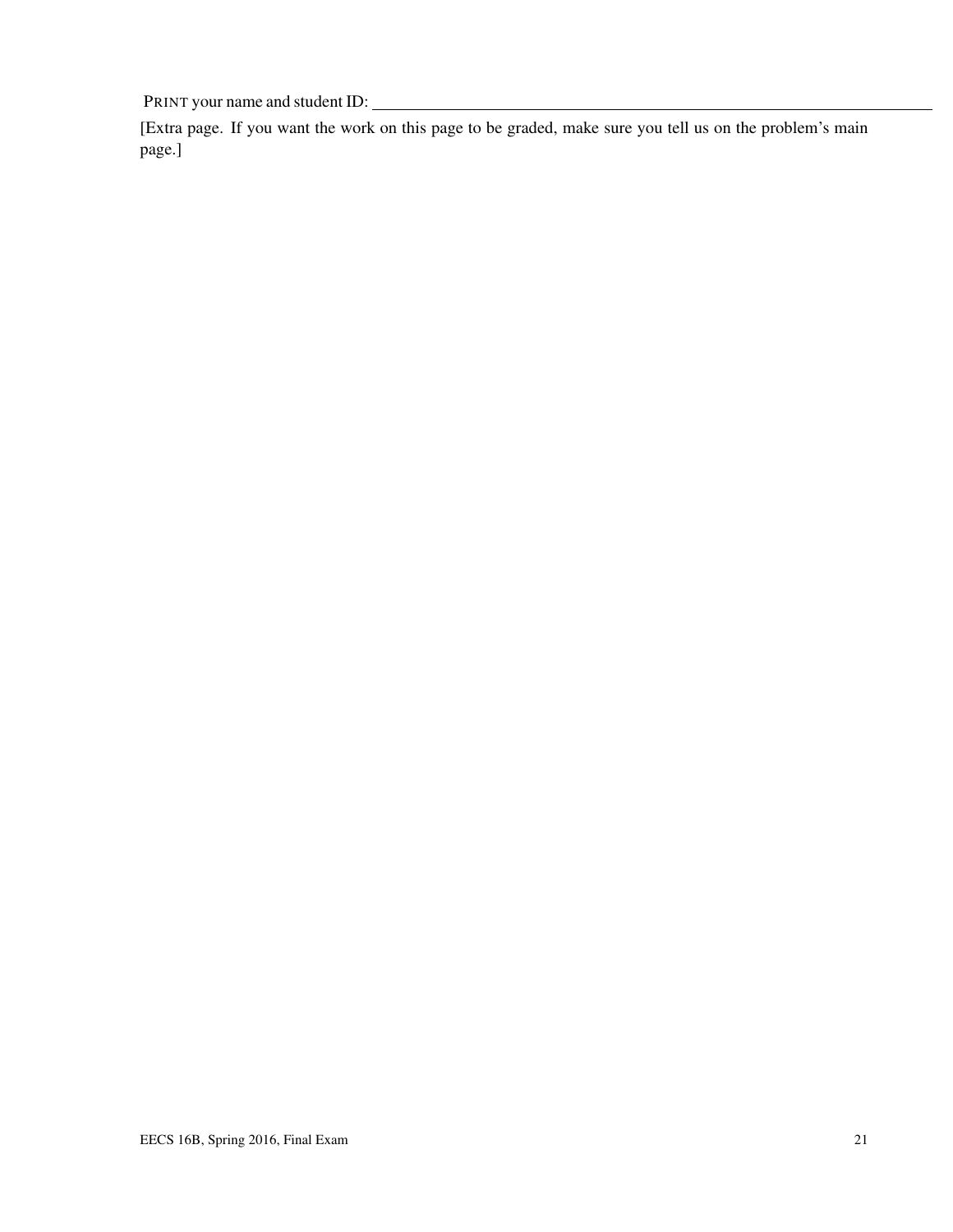[Extra page. If you want the work on this page to be graded, make sure you tell us on the problem's main page.]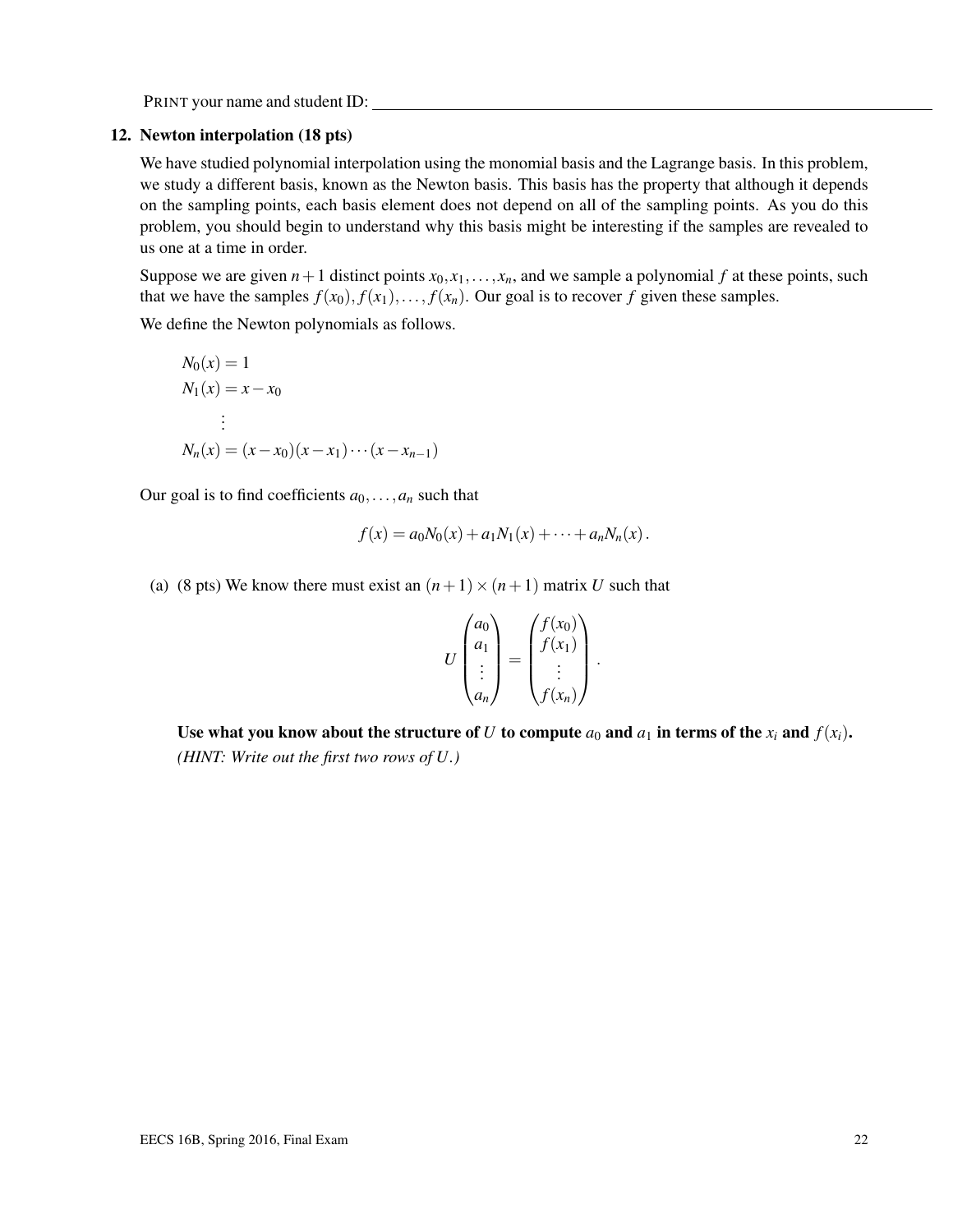#### 12. Newton interpolation (18 pts)

We have studied polynomial interpolation using the monomial basis and the Lagrange basis. In this problem, we study a different basis, known as the Newton basis. This basis has the property that although it depends on the sampling points, each basis element does not depend on all of the sampling points. As you do this problem, you should begin to understand why this basis might be interesting if the samples are revealed to us one at a time in order.

Suppose we are given  $n+1$  distinct points  $x_0, x_1, \ldots, x_n$ , and we sample a polynomial f at these points, such that we have the samples  $f(x_0), f(x_1), \ldots, f(x_n)$ . Our goal is to recover *f* given these samples.

We define the Newton polynomials as follows.

$$
N_0(x) = 1
$$
  
\n
$$
N_1(x) = x - x_0
$$
  
\n
$$
\vdots
$$
  
\n
$$
N_n(x) = (x - x_0)(x - x_1) \cdots (x - x_{n-1})
$$

Our goal is to find coefficients  $a_0, \ldots, a_n$  such that

$$
f(x) = a_0 N_0(x) + a_1 N_1(x) + \cdots + a_n N_n(x).
$$

(a) (8 pts) We know there must exist an  $(n+1) \times (n+1)$  matrix *U* such that

$$
U\begin{pmatrix} a_0 \\ a_1 \\ \vdots \\ a_n \end{pmatrix} = \begin{pmatrix} f(x_0) \\ f(x_1) \\ \vdots \\ f(x_n) \end{pmatrix}.
$$

Use what you know about the structure of *U* to compute  $a_0$  and  $a_1$  in terms of the  $x_i$  and  $f(x_i)$ . *(HINT: Write out the first two rows of U.)*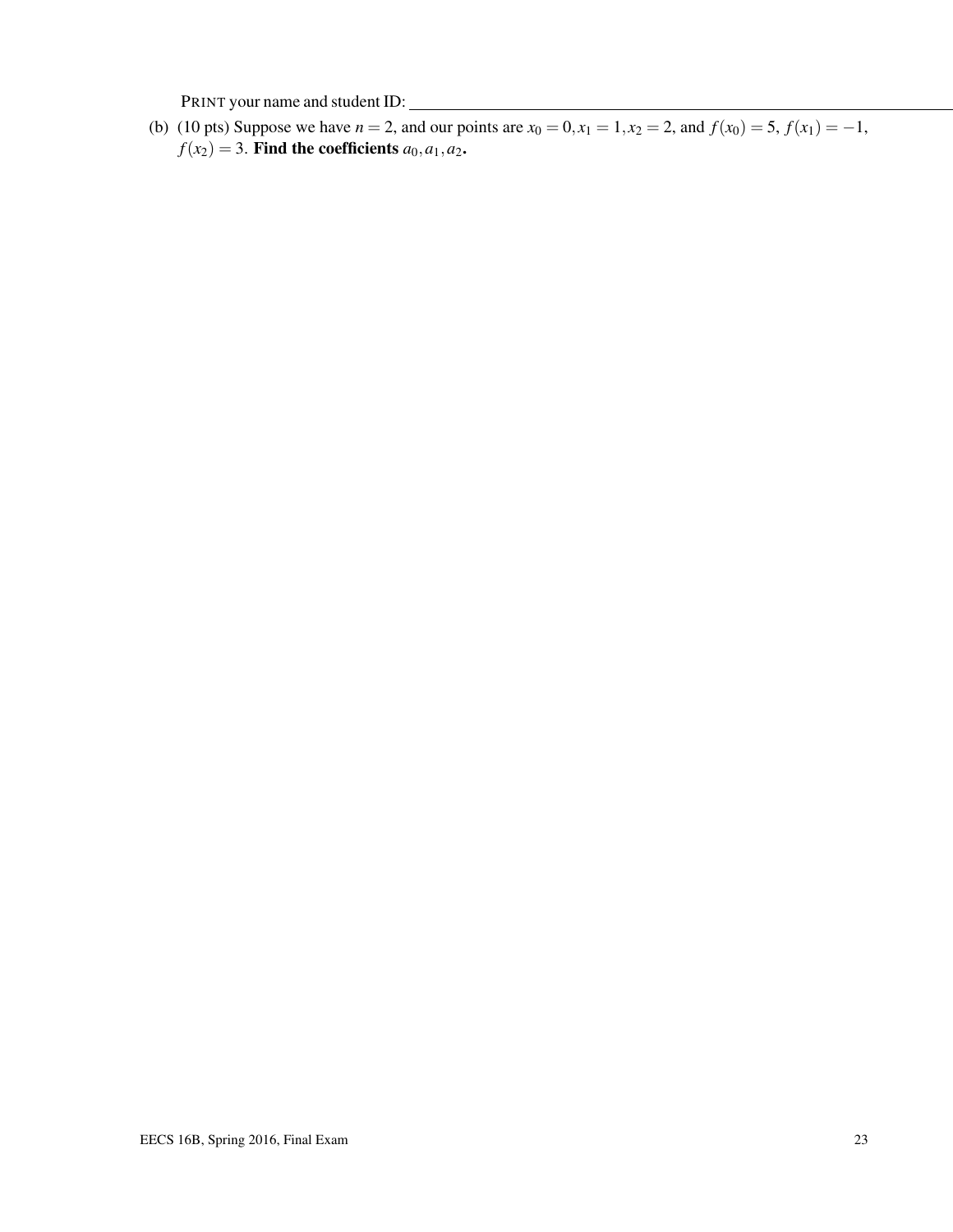(b) (10 pts) Suppose we have  $n = 2$ , and our points are  $x_0 = 0, x_1 = 1, x_2 = 2$ , and  $f(x_0) = 5, f(x_1) = -1$ ,  $f(x_2) = 3$ . Find the coefficients  $a_0, a_1, a_2$ .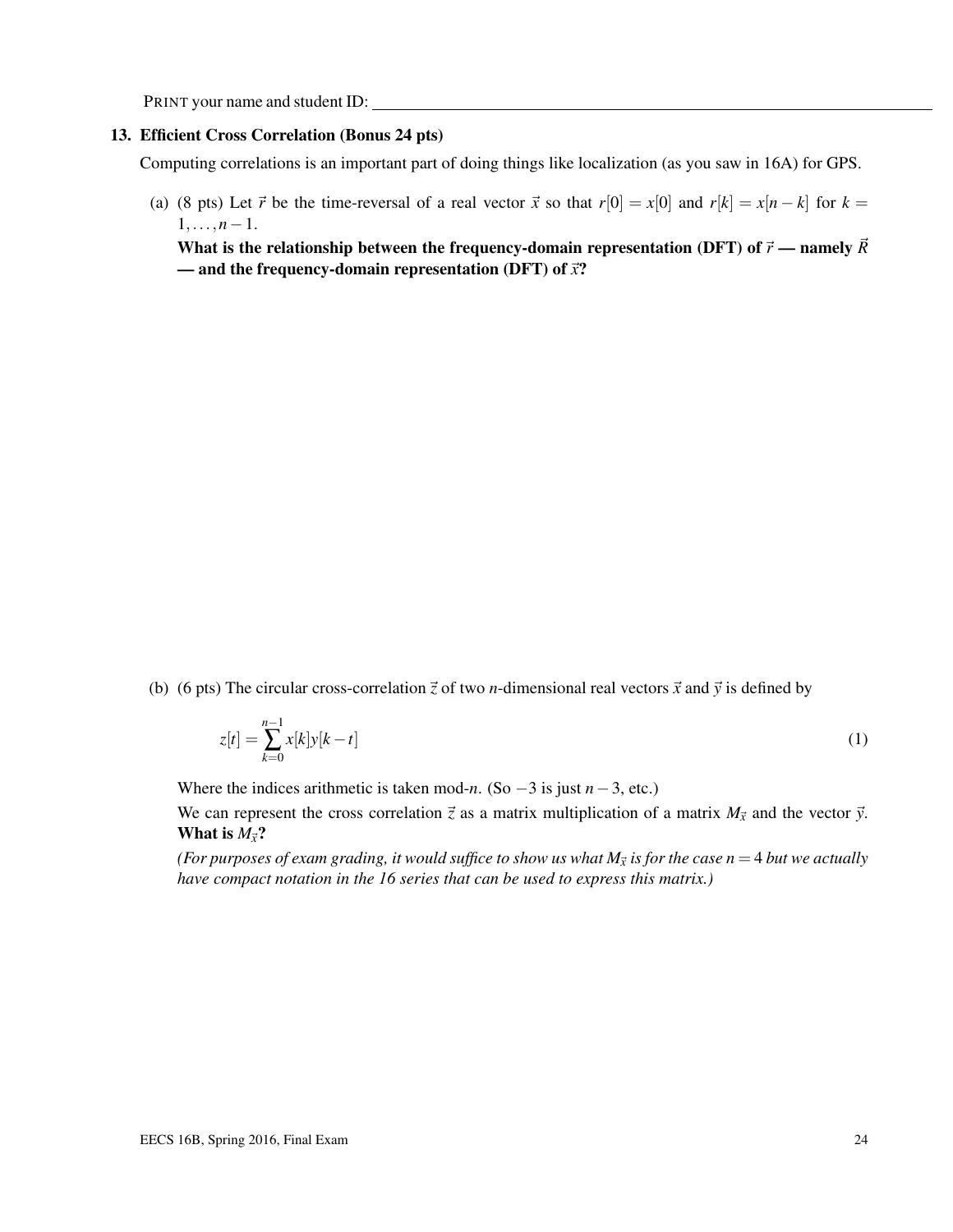#### 13. Efficient Cross Correlation (Bonus 24 pts)

Computing correlations is an important part of doing things like localization (as you saw in 16A) for GPS.

(a) (8 pts) Let  $\vec{r}$  be the time-reversal of a real vector  $\vec{x}$  so that  $r[0] = x[0]$  and  $r[k] = x[n-k]$  for  $k =$  $1, \ldots, n-1$ .

What is the relationship between the frequency-domain representation (DFT) of  $\vec{r}$  — namely  $\vec{R}$ — and the frequency-domain representation (DFT) of  $\vec{x}$ ?

(b) (6 pts) The circular cross-correlation  $\vec{z}$  of two *n*-dimensional real vectors  $\vec{x}$  and  $\vec{y}$  is defined by

$$
z[t] = \sum_{k=0}^{n-1} x[k]y[k-t]
$$
 (1)

Where the indices arithmetic is taken mod-*n*. (So −3 is just *n*−3, etc.)

We can represent the cross correlation  $\vec{z}$  as a matrix multiplication of a matrix  $M_{\vec{x}}$  and the vector  $\vec{y}$ . What is  $M_{\vec{x}}$ ?

*(For purposes of exam grading, it would suffice to show us what*  $M_{\vec{x}}$  *is for the case*  $n=4$  *but we actually have compact notation in the 16 series that can be used to express this matrix.)*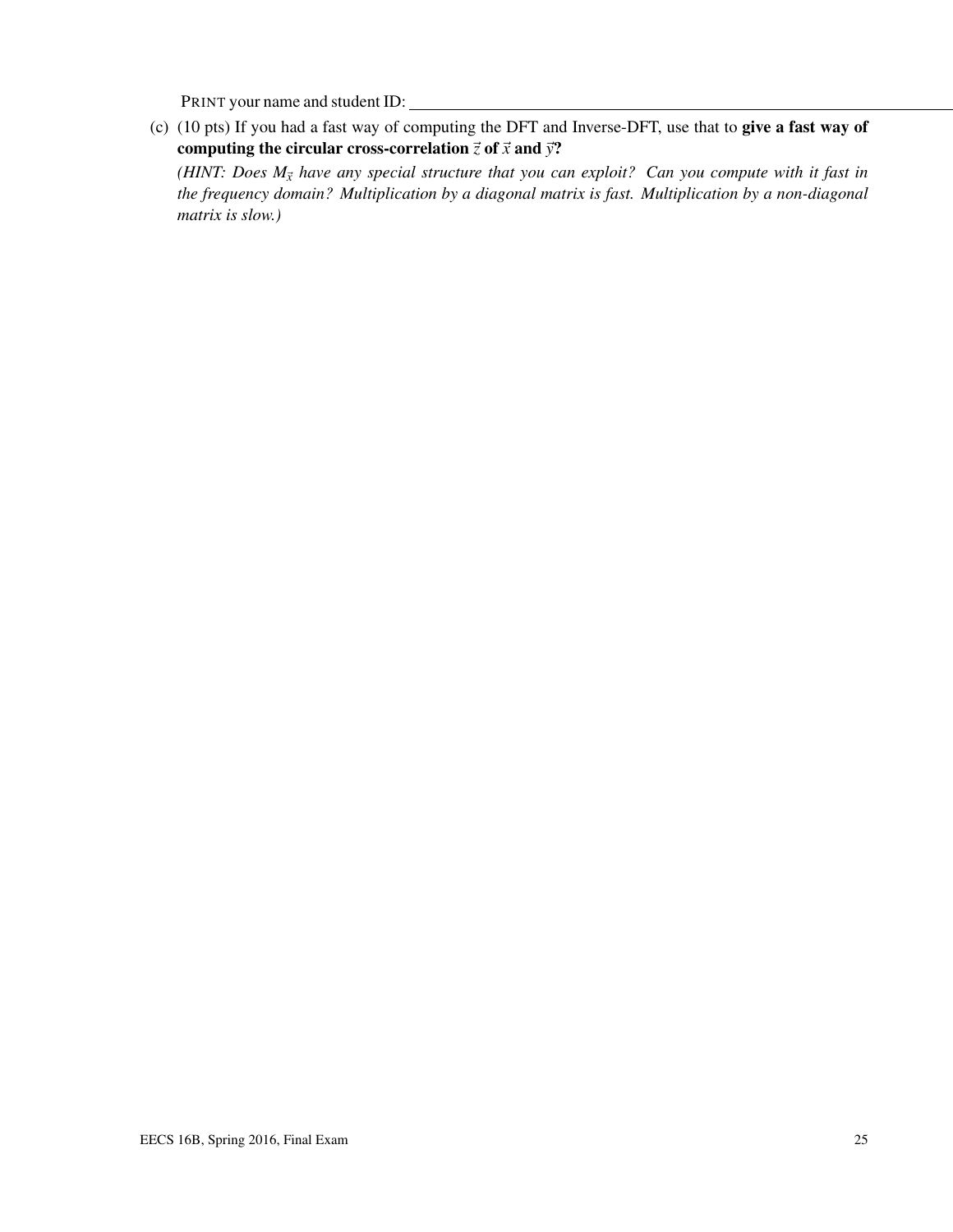(c) (10 pts) If you had a fast way of computing the DFT and Inverse-DFT, use that to give a fast way of computing the circular cross-correlation  $\vec{z}$  of  $\vec{x}$  and  $\vec{y}$ ?

*(HINT: Does*  $M_{\vec{x}}$  *have any special structure that you can exploit? Can you compute with it fast in the frequency domain? Multiplication by a diagonal matrix is fast. Multiplication by a non-diagonal matrix is slow.)*